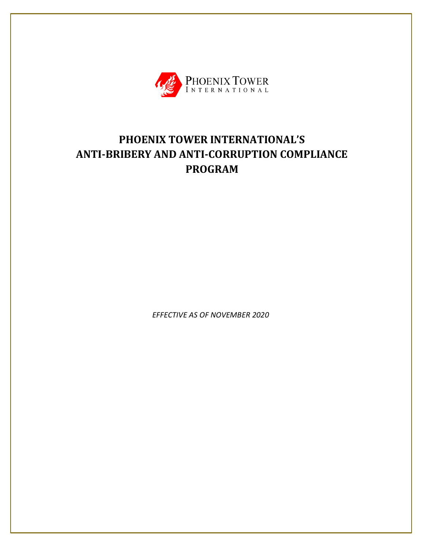

# **PHOENIX TOWER INTERNATIONAL'S ANTI-BRIBERY AND ANTI-CORRUPTION COMPLIANCE PROGRAM**

*EFFECTIVE AS OF NOVEMBER 2020*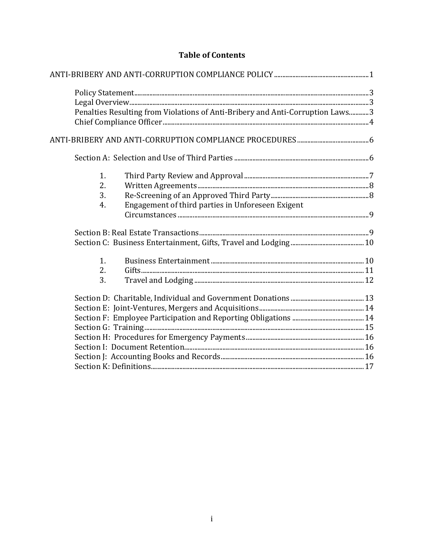# **Table of Contents**

| Penalties Resulting from Violations of Anti-Bribery and Anti-Corruption Laws3 |  |
|-------------------------------------------------------------------------------|--|
|                                                                               |  |
|                                                                               |  |
|                                                                               |  |
| 1.                                                                            |  |
| 2.                                                                            |  |
| 3.                                                                            |  |
| Engagement of third parties in Unforeseen Exigent<br>4.                       |  |
|                                                                               |  |
|                                                                               |  |
|                                                                               |  |
| 1.                                                                            |  |
| 2.                                                                            |  |
| 3.                                                                            |  |
|                                                                               |  |
|                                                                               |  |
|                                                                               |  |
|                                                                               |  |
|                                                                               |  |
|                                                                               |  |
|                                                                               |  |
|                                                                               |  |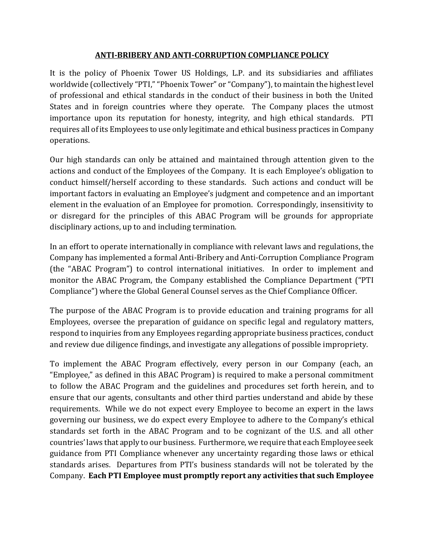#### **ANTI-BRIBERY AND ANTI-CORRUPTION COMPLIANCE POLICY**

<span id="page-2-0"></span>It is the policy of Phoenix Tower US Holdings, L.P. and its subsidiaries and affiliates worldwide (collectively "PTI," "Phoenix Tower" or "Company"), to maintain the highest level of professional and ethical standards in the conduct of their business in both the United States and in foreign countries where they operate. The Company places the utmost importance upon its reputation for honesty, integrity, and high ethical standards. PTI requires all of its Employees to use only legitimate and ethical business practices in Company operations.

Our high standards can only be attained and maintained through attention given to the actions and conduct of the Employees of the Company. It is each Employee's obligation to conduct himself/herself according to these standards. Such actions and conduct will be important factors in evaluating an Employee's judgment and competence and an important element in the evaluation of an Employee for promotion. Correspondingly, insensitivity to or disregard for the principles of this ABAC Program will be grounds for appropriate disciplinary actions, up to and including termination.

In an effort to operate internationally in compliance with relevant laws and regulations, the Company has implemented a formal Anti-Bribery and Anti-Corruption Compliance Program (the "ABAC Program") to control international initiatives. In order to implement and monitor the ABAC Program, the Company established the Compliance Department ("PTI Compliance") where the Global General Counsel serves as the Chief Compliance Officer.

The purpose of the ABAC Program is to provide education and training programs for all Employees, oversee the preparation of guidance on specific legal and regulatory matters, respond to inquiries from any Employees regarding appropriate business practices, conduct and review due diligence findings, and investigate any allegations of possible impropriety.

To implement the ABAC Program effectively, every person in our Company (each, an "Employee," as defined in this ABAC Program) is required to make a personal commitment to follow the ABAC Program and the guidelines and procedures set forth herein, and to ensure that our agents, consultants and other third parties understand and abide by these requirements. While we do not expect every Employee to become an expert in the laws governing our business, we do expect every Employee to adhere to the Company's ethical standards set forth in the ABAC Program and to be cognizant of the U.S. and all other countries' laws that apply to our business. Furthermore, we require that each Employee seek guidance from PTI Compliance whenever any uncertainty regarding those laws or ethical standards arises. Departures from PTI's business standards will not be tolerated by the Company. **Each PTI Employee must promptly report any activities that such Employee**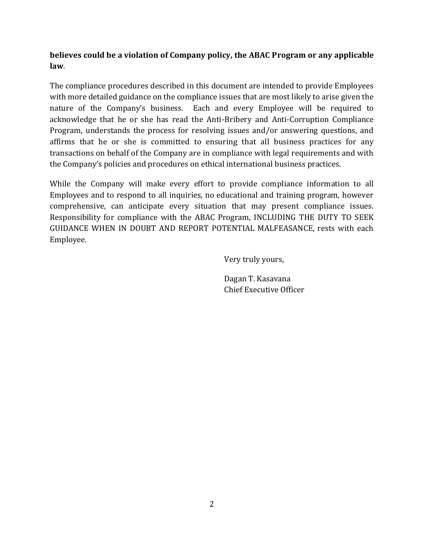### **believes could be a violation of Company policy, the ABAC Program or any applicable law**.

The compliance procedures described in this document are intended to provide Employees with more detailed guidance on the compliance issues that are most likely to arise given the nature of the Company's business. Each and every Employee will be required to acknowledge that he or she has read the Anti-Bribery and Anti-Corruption Compliance Program, understands the process for resolving issues and/or answering questions, and affirms that he or she is committed to ensuring that all business practices for any transactions on behalf of the Company are in compliance with legal requirements and with the Company's policies and procedures on ethical international business practices.

While the Company will make every effort to provide compliance information to all Employees and to respond to all inquiries, no educational and training program, however comprehensive, can anticipate every situation that may present compliance issues. Responsibility for compliance with the ABAC Program, INCLUDING THE DUTY TO SEEK GUIDANCE WHEN IN DOUBT AND REPORT POTENTIAL MALFEASANCE, rests with each Employee.

Very truly yours,

Dagan T. Kasavana Chief Executive Officer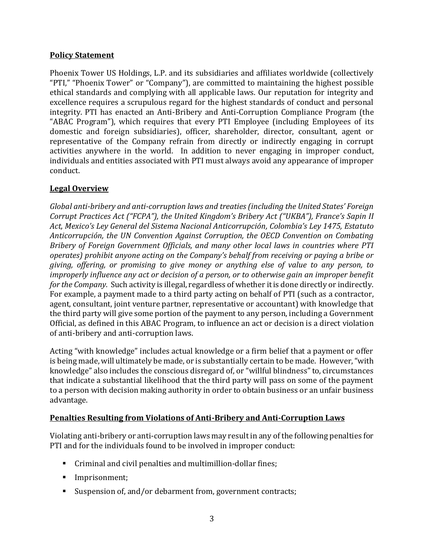### <span id="page-4-0"></span>**Policy Statement**

Phoenix Tower US Holdings, L.P. and its subsidiaries and affiliates worldwide (collectively "PTI," "Phoenix Tower" or "Company"), are committed to maintaining the highest possible ethical standards and complying with all applicable laws. Our reputation for integrity and excellence requires a scrupulous regard for the highest standards of conduct and personal integrity. PTI has enacted an Anti-Bribery and Anti-Corruption Compliance Program (the "ABAC Program"), which requires that every PTI Employee (including Employees of its domestic and foreign subsidiaries), officer, shareholder, director, consultant, agent or representative of the Company refrain from directly or indirectly engaging in corrupt activities anywhere in the world. In addition to never engaging in improper conduct, individuals and entities associated with PTI must always avoid any appearance of improper conduct.

### <span id="page-4-1"></span>**Legal Overview**

*Global anti-bribery and anti-corruption laws and treaties (including the United States' Foreign Corrupt Practices Act ("FCPA"), the United Kingdom's Bribery Act ("UKBA"), France's Sapin II Act, Mexico's Ley General del Sistema Nacional Anticorrupción, Colombia's Ley 1475, Estatuto Anticorrupción, the UN Convention Against Corruption, the OECD Convention on Combating Bribery of Foreign Government Officials, and many other local laws in countries where PTI operates) prohibit anyone acting on the Company's behalf from receiving or paying a bribe or giving, offering, or promising to give money or anything else of value to any person, to improperly influence any act or decision of a person, or to otherwise gain an improper benefit for the Company.* Such activity is illegal, regardless of whether it is done directly or indirectly. For example, a payment made to a third party acting on behalf of PTI (such as a contractor, agent, consultant, joint venture partner, representative or accountant) with knowledge that the third party will give some portion of the payment to any person, including a Government Official, as defined in this ABAC Program, to influence an act or decision is a direct violation of anti-bribery and anti-corruption laws.

Acting "with knowledge" includes actual knowledge or a firm belief that a payment or offer is being made, will ultimately be made, or is substantially certain to be made. However, "with knowledge" also includes the conscious disregard of, or "willful blindness" to, circumstances that indicate a substantial likelihood that the third party will pass on some of the payment to a person with decision making authority in order to obtain business or an unfair business advantage.

### <span id="page-4-2"></span>**Penalties Resulting from Violations of Anti-Bribery and Anti-Corruption Laws**

Violating anti-bribery or anti-corruption laws may result in any of the following penalties for PTI and for the individuals found to be involved in improper conduct:

- Criminal and civil penalties and multimillion-dollar fines;
- Imprisonment;
- Suspension of, and/or debarment from, government contracts;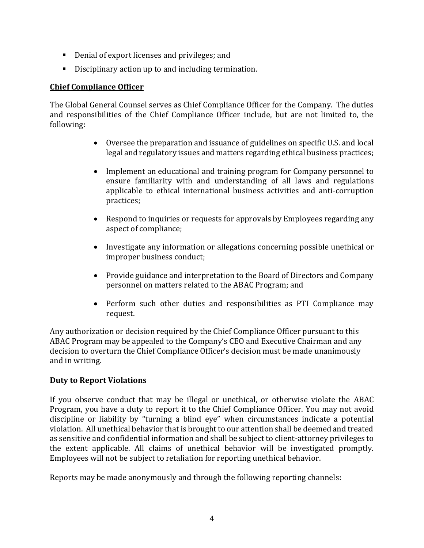- Denial of export licenses and privileges; and
- Disciplinary action up to and including termination.

### <span id="page-5-0"></span>**Chief Compliance Officer**

The Global General Counsel serves as Chief Compliance Officer for the Company. The duties and responsibilities of the Chief Compliance Officer include, but are not limited to, the following:

- Oversee the preparation and issuance of guidelines on specific U.S. and local legal and regulatory issues and matters regarding ethical business practices;
- Implement an educational and training program for Company personnel to ensure familiarity with and understanding of all laws and regulations applicable to ethical international business activities and anti-corruption practices;
- Respond to inquiries or requests for approvals by Employees regarding any aspect of compliance;
- Investigate any information or allegations concerning possible unethical or improper business conduct;
- Provide guidance and interpretation to the Board of Directors and Company personnel on matters related to the ABAC Program; and
- Perform such other duties and responsibilities as PTI Compliance may request.

Any authorization or decision required by the Chief Compliance Officer pursuant to this ABAC Program may be appealed to the Company's CEO and Executive Chairman and any decision to overturn the Chief Compliance Officer's decision must be made unanimously and in writing.

### **Duty to Report Violations**

If you observe conduct that may be illegal or unethical, or otherwise violate the ABAC Program, you have a duty to report it to the Chief Compliance Officer. You may not avoid discipline or liability by "turning a blind eye" when circumstances indicate a potential violation. All unethical behavior that is brought to our attention shall be deemed and treated as sensitive and confidential information and shall be subject to client-attorney privileges to the extent applicable. All claims of unethical behavior will be investigated promptly. Employees will not be subject to retaliation for reporting unethical behavior.

Reports may be made anonymously and through the following reporting channels: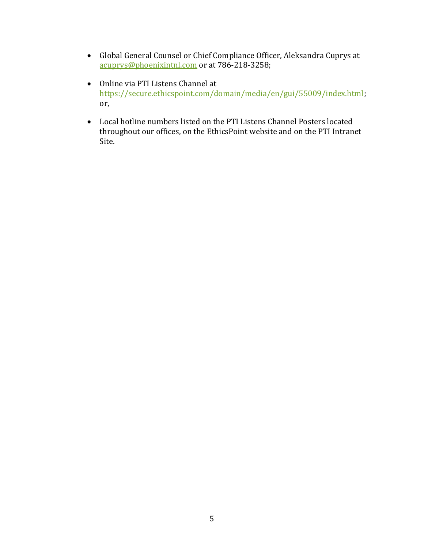- Global General Counsel or Chief Compliance Officer, Aleksandra Cuprys at [acuprys@phoenixintnl.com](mailto:acuprys@phoenixintnl.com) or at 786-218-3258;
- Online via PTI Listens Channel at [https://secure.ethicspoint.com/domain/media/en/gui/55009/index.html;](https://secure.ethicspoint.com/domain/media/en/gui/55009/index.html) or,
- Local hotline numbers listed on the PTI Listens Channel Posters located throughout our offices, on the EthicsPoint website and on the PTI Intranet Site.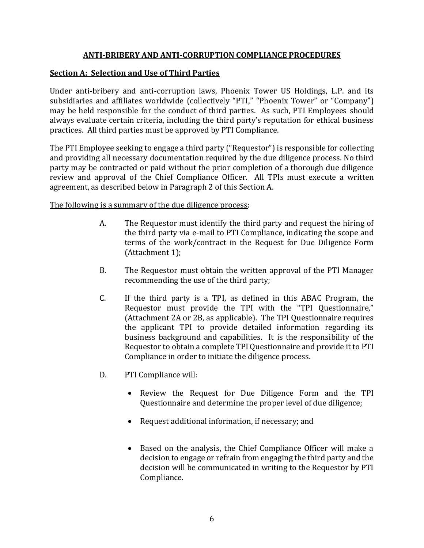#### **ANTI-BRIBERY AND ANTI-CORRUPTION COMPLIANCE PROCEDURES**

#### <span id="page-7-1"></span><span id="page-7-0"></span>**Section A: Selection and Use of Third Parties**

Under anti-bribery and anti-corruption laws, Phoenix Tower US Holdings, L.P. and its subsidiaries and affiliates worldwide (collectively "PTI," "Phoenix Tower" or "Company") may be held responsible for the conduct of third parties. As such, PTI Employees should always evaluate certain criteria, including the third party's reputation for ethical business practices. All third parties must be approved by PTI Compliance.

The PTI Employee seeking to engage a third party ("Requestor") is responsible for collecting and providing all necessary documentation required by the due diligence process. No third party may be contracted or paid without the prior completion of a thorough due diligence review and approval of the Chief Compliance Officer. All TPIs must execute a written agreement, as described below in Paragraph 2 of this Section A.

The following is a summary of the due diligence process:

- A. The Requestor must identify the third party and request the hiring of the third party via e-mail to PTI Compliance, indicating the scope and terms of the work/contract in the Request for Due Diligence Form (Attachment 1);
- B. The Requestor must obtain the written approval of the PTI Manager recommending the use of the third party;
- C. If the third party is a TPI, as defined in this ABAC Program, the Requestor must provide the TPI with the "TPI Questionnaire," (Attachment 2A or 2B, as applicable). The TPI Questionnaire requires the applicant TPI to provide detailed information regarding its business background and capabilities. It is the responsibility of the Requestor to obtain a complete TPI Questionnaire and provide it to PTI Compliance in order to initiate the diligence process.
- D. PTI Compliance will:
	- Review the Request for Due Diligence Form and the TPI Questionnaire and determine the proper level of due diligence;
	- Request additional information, if necessary; and
	- Based on the analysis, the Chief Compliance Officer will make a decision to engage or refrain from engaging the third party and the decision will be communicated in writing to the Requestor by PTI Compliance.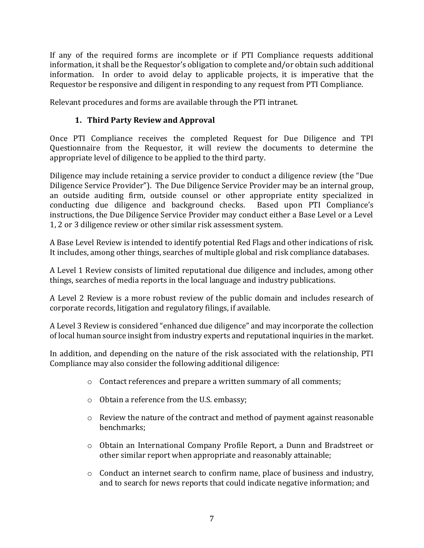If any of the required forms are incomplete or if PTI Compliance requests additional information, it shall be the Requestor's obligation to complete and/or obtain such additional information. In order to avoid delay to applicable projects, it is imperative that the Requestor be responsive and diligent in responding to any request from PTI Compliance.

Relevant procedures and forms are available through the PTI intranet.

# **1. Third Party Review and Approval**

<span id="page-8-0"></span>Once PTI Compliance receives the completed Request for Due Diligence and TPI Questionnaire from the Requestor, it will review the documents to determine the appropriate level of diligence to be applied to the third party.

Diligence may include retaining a service provider to conduct a diligence review (the "Due Diligence Service Provider"). The Due Diligence Service Provider may be an internal group, an outside auditing firm, outside counsel or other appropriate entity specialized in conducting due diligence and background checks. Based upon PTI Compliance's instructions, the Due Diligence Service Provider may conduct either a Base Level or a Level 1, 2 or 3 diligence review or other similar risk assessment system.

A Base Level Review is intended to identify potential Red Flags and other indications of risk. It includes, among other things, searches of multiple global and risk compliance databases.

A Level 1 Review consists of limited reputational due diligence and includes, among other things, searches of media reports in the local language and industry publications.

A Level 2 Review is a more robust review of the public domain and includes research of corporate records, litigation and regulatory filings, if available.

A Level 3 Review is considered "enhanced due diligence" and may incorporate the collection of local human source insight from industry experts and reputational inquiries in the market.

In addition, and depending on the nature of the risk associated with the relationship, PTI Compliance may also consider the following additional diligence:

- o Contact references and prepare a written summary of all comments;
- o Obtain a reference from the U.S. embassy;
- o Review the nature of the contract and method of payment against reasonable benchmarks;
- o Obtain an International Company Profile Report, a Dunn and Bradstreet or other similar report when appropriate and reasonably attainable;
- $\circ$  Conduct an internet search to confirm name, place of business and industry, and to search for news reports that could indicate negative information; and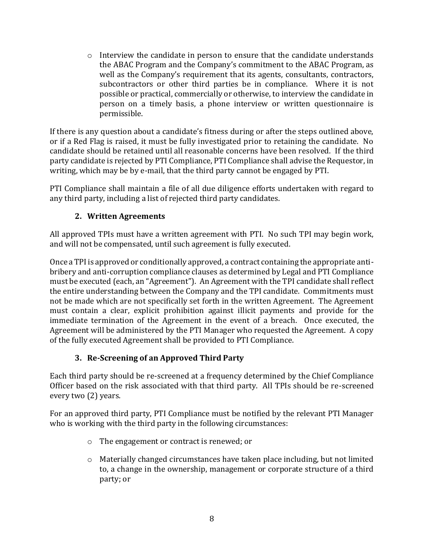$\circ$  Interview the candidate in person to ensure that the candidate understands the ABAC Program and the Company's commitment to the ABAC Program, as well as the Company's requirement that its agents, consultants, contractors, subcontractors or other third parties be in compliance. Where it is not possible or practical, commercially or otherwise, to interview the candidate in person on a timely basis, a phone interview or written questionnaire is permissible.

If there is any question about a candidate's fitness during or after the steps outlined above, or if a Red Flag is raised, it must be fully investigated prior to retaining the candidate. No candidate should be retained until all reasonable concerns have been resolved. If the third party candidate is rejected by PTI Compliance, PTI Compliance shall advise the Requestor, in writing, which may be by e-mail, that the third party cannot be engaged by PTI.

PTI Compliance shall maintain a file of all due diligence efforts undertaken with regard to any third party, including a list of rejected third party candidates.

### **2. Written Agreements**

<span id="page-9-0"></span>All approved TPIs must have a written agreement with PTI. No such TPI may begin work, and will not be compensated, until such agreement is fully executed.

Once a TPI is approved or conditionally approved, a contract containing the appropriate antibribery and anti-corruption compliance clauses as determined by Legal and PTI Compliance must be executed (each, an "Agreement"). An Agreement with the TPI candidate shall reflect the entire understanding between the Company and the TPI candidate. Commitments must not be made which are not specifically set forth in the written Agreement. The Agreement must contain a clear, explicit prohibition against illicit payments and provide for the immediate termination of the Agreement in the event of a breach. Once executed, the Agreement will be administered by the PTI Manager who requested the Agreement. A copy of the fully executed Agreement shall be provided to PTI Compliance.

# **3. Re-Screening of an Approved Third Party**

<span id="page-9-1"></span>Each third party should be re-screened at a frequency determined by the Chief Compliance Officer based on the risk associated with that third party. All TPIs should be re-screened every two (2) years.

For an approved third party, PTI Compliance must be notified by the relevant PTI Manager who is working with the third party in the following circumstances:

- o The engagement or contract is renewed; or
- o Materially changed circumstances have taken place including, but not limited to, a change in the ownership, management or corporate structure of a third party; or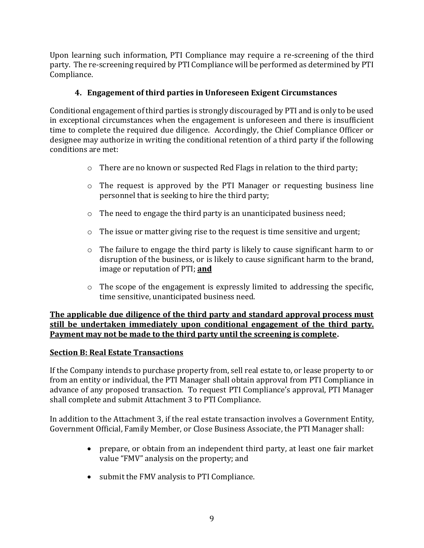Upon learning such information, PTI Compliance may require a re-screening of the third party. The re-screening required by PTI Compliance will be performed as determined by PTI Compliance.

### **4. Engagement of third parties in Unforeseen Exigent Circumstances**

<span id="page-10-0"></span>Conditional engagement of third parties is strongly discouraged by PTI and is only to be used in exceptional circumstances when the engagement is unforeseen and there is insufficient time to complete the required due diligence. Accordingly, the Chief Compliance Officer or designee may authorize in writing the conditional retention of a third party if the following conditions are met:

- o There are no known or suspected Red Flags in relation to the third party;
- o The request is approved by the PTI Manager or requesting business line personnel that is seeking to hire the third party;
- o The need to engage the third party is an unanticipated business need;
- o The issue or matter giving rise to the request is time sensitive and urgent;
- $\circ$  The failure to engage the third party is likely to cause significant harm to or disruption of the business, or is likely to cause significant harm to the brand, image or reputation of PTI; **and**
- $\circ$  The scope of the engagement is expressly limited to addressing the specific, time sensitive, unanticipated business need.

#### **The applicable due diligence of the third party and standard approval process must still be undertaken immediately upon conditional engagement of the third party. Payment may not be made to the third party until the screening is complete.**

### <span id="page-10-1"></span>**Section B: Real Estate Transactions**

If the Company intends to purchase property from, sell real estate to, or lease property to or from an entity or individual, the PTI Manager shall obtain approval from PTI Compliance in advance of any proposed transaction. To request PTI Compliance's approval, PTI Manager shall complete and submit Attachment 3 to PTI Compliance.

In addition to the Attachment 3, if the real estate transaction involves a Government Entity, Government Official, Family Member, or Close Business Associate, the PTI Manager shall:

- prepare, or obtain from an independent third party, at least one fair market value "FMV" analysis on the property; and
- submit the FMV analysis to PTI Compliance.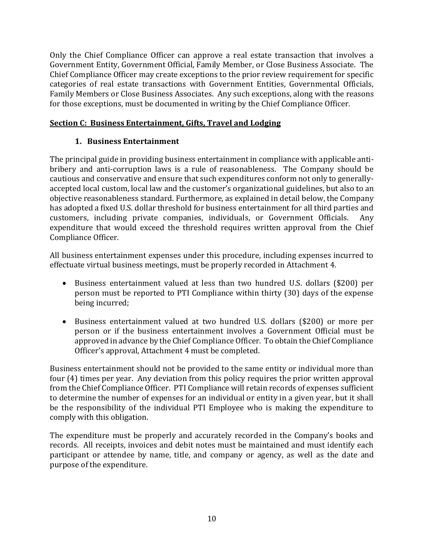Only the Chief Compliance Officer can approve a real estate transaction that involves a Government Entity, Government Official, Family Member, or Close Business Associate. The Chief Compliance Officer may create exceptions to the prior review requirement for specific categories of real estate transactions with Government Entities, Governmental Officials, Family Members or Close Business Associates. Any such exceptions, along with the reasons for those exceptions, must be documented in writing by the Chief Compliance Officer.

### <span id="page-11-0"></span>**Section C: Business Entertainment, Gifts, Travel and Lodging**

# **1. Business Entertainment**

<span id="page-11-1"></span>The principal guide in providing business entertainment in compliance with applicable antibribery and anti-corruption laws is a rule of reasonableness. The Company should be cautious and conservative and ensure that such expenditures conform not only to generallyaccepted local custom, local law and the customer's organizational guidelines, but also to an objective reasonableness standard. Furthermore, as explained in detail below, the Company has adopted a fixed U.S. dollar threshold for business entertainment for all third parties and customers, including private companies, individuals, or Government Officials. Any expenditure that would exceed the threshold requires written approval from the Chief Compliance Officer.

All business entertainment expenses under this procedure, including expenses incurred to effectuate virtual business meetings, must be properly recorded in Attachment 4.

- Business entertainment valued at less than two hundred U.S. dollars (\$200) per person must be reported to PTI Compliance within thirty (30) days of the expense being incurred;
- Business entertainment valued at two hundred U.S. dollars (\$200) or more per person or if the business entertainment involves a Government Official must be approved in advance by the Chief Compliance Officer. To obtain the Chief Compliance Officer's approval, Attachment 4 must be completed.

Business entertainment should not be provided to the same entity or individual more than four (4) times per year. Any deviation from this policy requires the prior written approval from the Chief Compliance Officer. PTI Compliance will retain records of expenses sufficient to determine the number of expenses for an individual or entity in a given year, but it shall be the responsibility of the individual PTI Employee who is making the expenditure to comply with this obligation.

The expenditure must be properly and accurately recorded in the Company's books and records. All receipts, invoices and debit notes must be maintained and must identify each participant or attendee by name, title, and company or agency, as well as the date and purpose of the expenditure.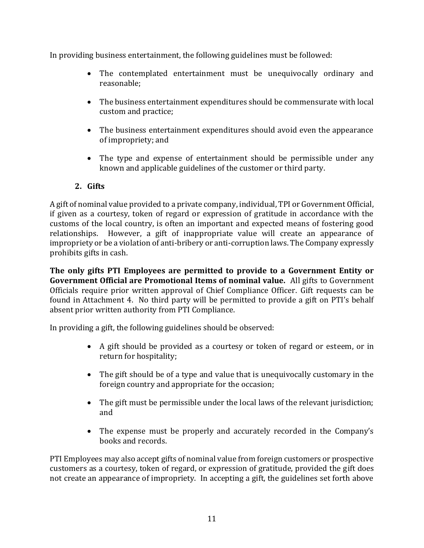In providing business entertainment, the following guidelines must be followed:

- The contemplated entertainment must be unequivocally ordinary and reasonable;
- The business entertainment expenditures should be commensurate with local custom and practice;
- The business entertainment expenditures should avoid even the appearance of impropriety; and
- The type and expense of entertainment should be permissible under any known and applicable guidelines of the customer or third party.

# **2. Gifts**

<span id="page-12-0"></span>A gift of nominal value provided to a private company, individual, TPI or Government Official, if given as a courtesy, token of regard or expression of gratitude in accordance with the customs of the local country, is often an important and expected means of fostering good relationships. However, a gift of inappropriate value will create an appearance of impropriety or be a violation of anti-bribery or anti-corruption laws. The Company expressly prohibits gifts in cash.

**The only gifts PTI Employees are permitted to provide to a Government Entity or Government Official are Promotional Items of nominal value.** All gifts to Government Officials require prior written approval of Chief Compliance Officer. Gift requests can be found in Attachment 4. No third party will be permitted to provide a gift on PTI's behalf absent prior written authority from PTI Compliance.

In providing a gift, the following guidelines should be observed:

- A gift should be provided as a courtesy or token of regard or esteem, or in return for hospitality;
- The gift should be of a type and value that is unequivocally customary in the foreign country and appropriate for the occasion;
- The gift must be permissible under the local laws of the relevant jurisdiction; and
- The expense must be properly and accurately recorded in the Company's books and records.

PTI Employees may also accept gifts of nominal value from foreign customers or prospective customers as a courtesy, token of regard, or expression of gratitude, provided the gift does not create an appearance of impropriety. In accepting a gift, the guidelines set forth above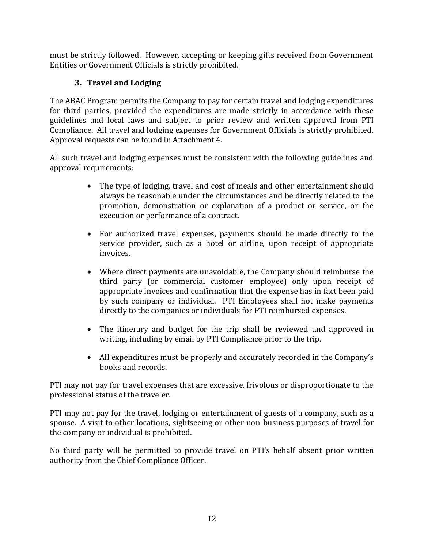must be strictly followed. However, accepting or keeping gifts received from Government Entities or Government Officials is strictly prohibited.

# **3. Travel and Lodging**

<span id="page-13-0"></span>The ABAC Program permits the Company to pay for certain travel and lodging expenditures for third parties, provided the expenditures are made strictly in accordance with these guidelines and local laws and subject to prior review and written approval from PTI Compliance. All travel and lodging expenses for Government Officials is strictly prohibited. Approval requests can be found in Attachment 4.

All such travel and lodging expenses must be consistent with the following guidelines and approval requirements:

- The type of lodging, travel and cost of meals and other entertainment should always be reasonable under the circumstances and be directly related to the promotion, demonstration or explanation of a product or service, or the execution or performance of a contract.
- For authorized travel expenses, payments should be made directly to the service provider, such as a hotel or airline, upon receipt of appropriate invoices.
- Where direct payments are unavoidable, the Company should reimburse the third party (or commercial customer employee) only upon receipt of appropriate invoices and confirmation that the expense has in fact been paid by such company or individual. PTI Employees shall not make payments directly to the companies or individuals for PTI reimbursed expenses.
- The itinerary and budget for the trip shall be reviewed and approved in writing, including by email by PTI Compliance prior to the trip.
- All expenditures must be properly and accurately recorded in the Company's books and records.

PTI may not pay for travel expenses that are excessive, frivolous or disproportionate to the professional status of the traveler.

PTI may not pay for the travel, lodging or entertainment of guests of a company, such as a spouse. A visit to other locations, sightseeing or other non-business purposes of travel for the company or individual is prohibited.

No third party will be permitted to provide travel on PTI's behalf absent prior written authority from the Chief Compliance Officer.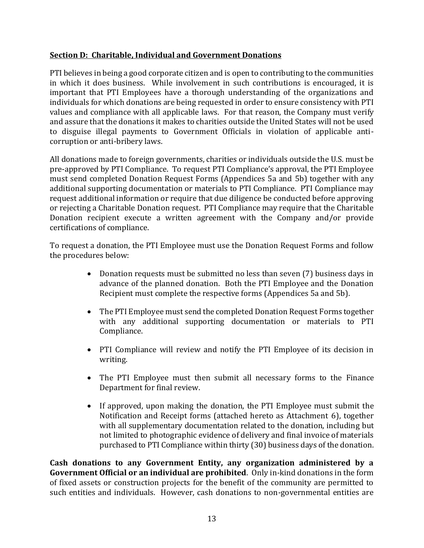### <span id="page-14-0"></span>**Section D: Charitable, Individual and Government Donations**

PTI believes in being a good corporate citizen and is open to contributing to the communities in which it does business. While involvement in such contributions is encouraged, it is important that PTI Employees have a thorough understanding of the organizations and individuals for which donations are being requested in order to ensure consistency with PTI values and compliance with all applicable laws. For that reason, the Company must verify and assure that the donations it makes to charities outside the United States will not be used to disguise illegal payments to Government Officials in violation of applicable anticorruption or anti-bribery laws.

All donations made to foreign governments, charities or individuals outside the U.S. must be pre-approved by PTI Compliance. To request PTI Compliance's approval, the PTI Employee must send completed Donation Request Forms (Appendices 5a and 5b) together with any additional supporting documentation or materials to PTI Compliance. PTI Compliance may request additional information or require that due diligence be conducted before approving or rejecting a Charitable Donation request. PTI Compliance may require that the Charitable Donation recipient execute a written agreement with the Company and/or provide certifications of compliance.

To request a donation, the PTI Employee must use the Donation Request Forms and follow the procedures below:

- Donation requests must be submitted no less than seven (7) business days in advance of the planned donation. Both the PTI Employee and the Donation Recipient must complete the respective forms (Appendices 5a and 5b).
- The PTI Employee must send the completed Donation Request Forms together with any additional supporting documentation or materials to PTI Compliance.
- PTI Compliance will review and notify the PTI Employee of its decision in writing.
- The PTI Employee must then submit all necessary forms to the Finance Department for final review.
- If approved, upon making the donation, the PTI Employee must submit the Notification and Receipt forms (attached hereto as Attachment 6), together with all supplementary documentation related to the donation, including but not limited to photographic evidence of delivery and final invoice of materials purchased to PTI Compliance within thirty (30) business days of the donation.

**Cash donations to any Government Entity, any organization administered by a Government Official or an individual are prohibited**. Only in-kind donations in the form of fixed assets or construction projects for the benefit of the community are permitted to such entities and individuals. However, cash donations to non-governmental entities are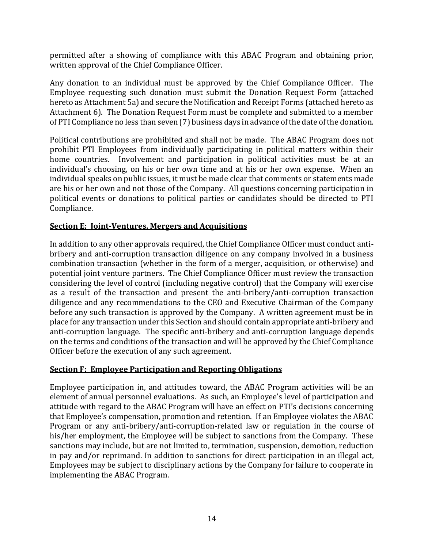permitted after a showing of compliance with this ABAC Program and obtaining prior, written approval of the Chief Compliance Officer.

Any donation to an individual must be approved by the Chief Compliance Officer. The Employee requesting such donation must submit the Donation Request Form (attached hereto as Attachment 5a) and secure the Notification and Receipt Forms (attached hereto as Attachment 6). The Donation Request Form must be complete and submitted to a member of PTI Compliance no less than seven (7) business days in advance of the date of the donation.

Political contributions are prohibited and shall not be made. The ABAC Program does not prohibit PTI Employees from individually participating in political matters within their home countries. Involvement and participation in political activities must be at an individual's choosing, on his or her own time and at his or her own expense. When an individual speaks on public issues, it must be made clear that comments or statements made are his or her own and not those of the Company. All questions concerning participation in political events or donations to political parties or candidates should be directed to PTI Compliance.

#### <span id="page-15-0"></span>**Section E: Joint-Ventures, Mergers and Acquisitions**

In addition to any other approvals required, the Chief Compliance Officer must conduct antibribery and anti-corruption transaction diligence on any company involved in a business combination transaction (whether in the form of a merger, acquisition, or otherwise) and potential joint venture partners. The Chief Compliance Officer must review the transaction considering the level of control (including negative control) that the Company will exercise as a result of the transaction and present the anti-bribery/anti-corruption transaction diligence and any recommendations to the CEO and Executive Chairman of the Company before any such transaction is approved by the Company. A written agreement must be in place for any transaction under this Section and should contain appropriate anti-bribery and anti-corruption language. The specific anti-bribery and anti-corruption language depends on the terms and conditions of the transaction and will be approved by the Chief Compliance Officer before the execution of any such agreement.

#### <span id="page-15-1"></span>**Section F: Employee Participation and Reporting Obligations**

Employee participation in, and attitudes toward, the ABAC Program activities will be an element of annual personnel evaluations. As such, an Employee's level of participation and attitude with regard to the ABAC Program will have an effect on PTI's decisions concerning that Employee's compensation, promotion and retention. If an Employee violates the ABAC Program or any anti-bribery/anti-corruption-related law or regulation in the course of his/her employment, the Employee will be subject to sanctions from the Company. These sanctions may include, but are not limited to, termination, suspension, demotion, reduction in pay and/or reprimand. In addition to sanctions for direct participation in an illegal act, Employees may be subject to disciplinary actions by the Company for failure to cooperate in implementing the ABAC Program.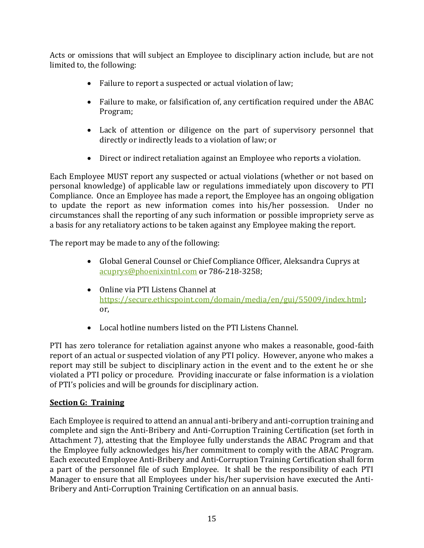Acts or omissions that will subject an Employee to disciplinary action include, but are not limited to, the following:

- Failure to report a suspected or actual violation of law;
- Failure to make, or falsification of, any certification required under the ABAC Program;
- Lack of attention or diligence on the part of supervisory personnel that directly or indirectly leads to a violation of law; or
- Direct or indirect retaliation against an Employee who reports a violation.

Each Employee MUST report any suspected or actual violations (whether or not based on personal knowledge) of applicable law or regulations immediately upon discovery to PTI Compliance. Once an Employee has made a report, the Employee has an ongoing obligation to update the report as new information comes into his/her possession. Under no circumstances shall the reporting of any such information or possible impropriety serve as a basis for any retaliatory actions to be taken against any Employee making the report.

The report may be made to any of the following:

- Global General Counsel or Chief Compliance Officer, Aleksandra Cuprys at [acuprys@phoenixintnl.com](mailto:acuprys@phoenixintnl.com) or 786-218-3258;
- Online via PTI Listens Channel at [https://secure.ethicspoint.com/domain/media/en/gui/55009/index.html;](https://secure.ethicspoint.com/domain/media/en/gui/55009/index.html) or,
- Local hotline numbers listed on the PTI Listens Channel.

PTI has zero tolerance for retaliation against anyone who makes a reasonable, good-faith report of an actual or suspected violation of any PTI policy. However, anyone who makes a report may still be subject to disciplinary action in the event and to the extent he or she violated a PTI policy or procedure. Providing inaccurate or false information is a violation of PTI's policies and will be grounds for disciplinary action.

### <span id="page-16-0"></span>**Section G: Training**

Each Employee is required to attend an annual anti-bribery and anti-corruption training and complete and sign the Anti-Bribery and Anti-Corruption Training Certification (set forth in Attachment 7), attesting that the Employee fully understands the ABAC Program and that the Employee fully acknowledges his/her commitment to comply with the ABAC Program. Each executed Employee Anti-Bribery and Anti-Corruption Training Certification shall form a part of the personnel file of such Employee. It shall be the responsibility of each PTI Manager to ensure that all Employees under his/her supervision have executed the Anti-Bribery and Anti-Corruption Training Certification on an annual basis.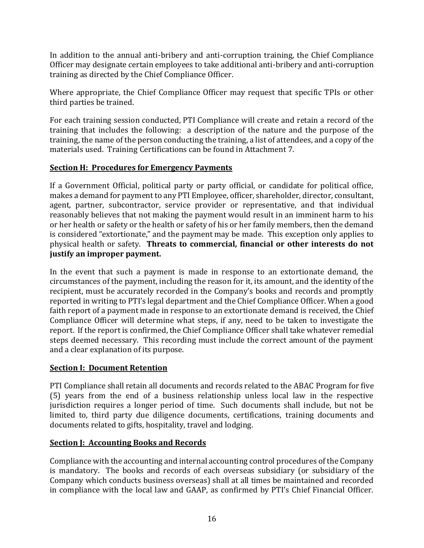In addition to the annual anti-bribery and anti-corruption training, the Chief Compliance Officer may designate certain employees to take additional anti-bribery and anti-corruption training as directed by the Chief Compliance Officer.

Where appropriate, the Chief Compliance Officer may request that specific TPIs or other third parties be trained.

For each training session conducted, PTI Compliance will create and retain a record of the training that includes the following: a description of the nature and the purpose of the training, the name of the person conducting the training, a list of attendees, and a copy of the materials used. Training Certifications can be found in Attachment 7.

### <span id="page-17-0"></span>**Section H: Procedures for Emergency Payments**

If a Government Official, political party or party official, or candidate for political office, makes a demand for payment to any PTI Employee, officer, shareholder, director, consultant, agent, partner, subcontractor, service provider or representative, and that individual reasonably believes that not making the payment would result in an imminent harm to his or her health or safety or the health or safety of his or her family members, then the demand is considered "extortionate," and the payment may be made. This exception only applies to physical health or safety. **Threats to commercial, financial or other interests do not justify an improper payment.**

In the event that such a payment is made in response to an extortionate demand, the circumstances of the payment, including the reason for it, its amount, and the identity of the recipient, must be accurately recorded in the Company's books and records and promptly reported in writing to PTI's legal department and the Chief Compliance Officer. When a good faith report of a payment made in response to an extortionate demand is received, the Chief Compliance Officer will determine what steps, if any, need to be taken to investigate the report. If the report is confirmed, the Chief Compliance Officer shall take whatever remedial steps deemed necessary. This recording must include the correct amount of the payment and a clear explanation of its purpose.

### <span id="page-17-1"></span>**Section I: Document Retention**

PTI Compliance shall retain all documents and records related to the ABAC Program for five (5) years from the end of a business relationship unless local law in the respective jurisdiction requires a longer period of time. Such documents shall include, but not be limited to, third party due diligence documents, certifications, training documents and documents related to gifts, hospitality, travel and lodging.

### <span id="page-17-2"></span>**Section J: Accounting Books and Records**

Compliance with the accounting and internal accounting control procedures of the Company is mandatory. The books and records of each overseas subsidiary (or subsidiary of the Company which conducts business overseas) shall at all times be maintained and recorded in compliance with the local law and GAAP, as confirmed by PTI's Chief Financial Officer.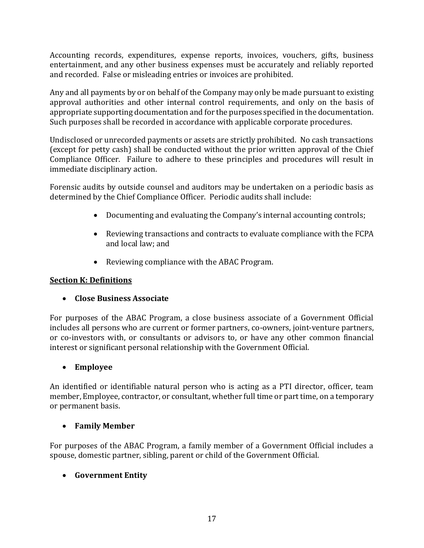Accounting records, expenditures, expense reports, invoices, vouchers, gifts, business entertainment, and any other business expenses must be accurately and reliably reported and recorded. False or misleading entries or invoices are prohibited.

Any and all payments by or on behalf of the Company may only be made pursuant to existing approval authorities and other internal control requirements, and only on the basis of appropriate supporting documentation and for the purposes specified in the documentation. Such purposes shall be recorded in accordance with applicable corporate procedures.

Undisclosed or unrecorded payments or assets are strictly prohibited. No cash transactions (except for petty cash) shall be conducted without the prior written approval of the Chief Compliance Officer. Failure to adhere to these principles and procedures will result in immediate disciplinary action.

Forensic audits by outside counsel and auditors may be undertaken on a periodic basis as determined by the Chief Compliance Officer. Periodic audits shall include:

- Documenting and evaluating the Company's internal accounting controls;
- Reviewing transactions and contracts to evaluate compliance with the FCPA and local law; and
- Reviewing compliance with the ABAC Program.

### <span id="page-18-0"></span>**Section K: Definitions**

### • **Close Business Associate**

For purposes of the ABAC Program, a close business associate of a Government Official includes all persons who are current or former partners, co-owners, joint-venture partners, or co-investors with, or consultants or advisors to, or have any other common financial interest or significant personal relationship with the Government Official.

### • **Employee**

An identified or identifiable natural person who is acting as a PTI director, officer, team member, Employee, contractor, or consultant, whether full time or part time, on a temporary or permanent basis.

### • **Family Member**

For purposes of the ABAC Program, a family member of a Government Official includes a spouse, domestic partner, sibling, parent or child of the Government Official.

### • **Government Entity**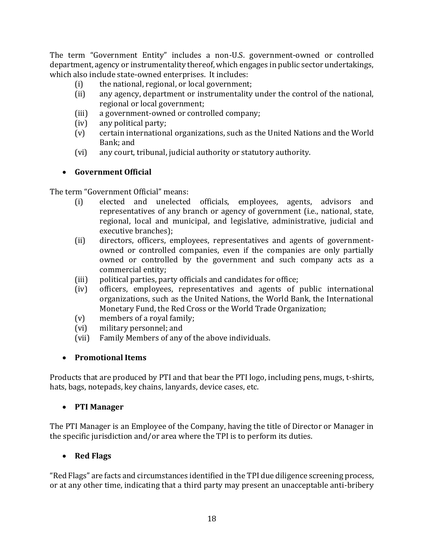The term "Government Entity" includes a non-U.S. government-owned or controlled department, agency or instrumentality thereof, which engages in public sector undertakings, which also include state-owned enterprises. It includes:

- (i) the national, regional, or local government;
- (ii) any agency, department or instrumentality under the control of the national, regional or local government;
- (iii) a government-owned or controlled company;
- (iv) any political party;
- (v) certain international organizations, such as the United Nations and the World Bank; and
- (vi) any court, tribunal, judicial authority or statutory authority.

# • **Government Official**

The term "Government Official" means:

- (i) elected and unelected officials, employees, agents, advisors and representatives of any branch or agency of government (i.e., national, state, regional, local and municipal, and legislative, administrative, judicial and executive branches);
- (ii) directors, officers, employees, representatives and agents of governmentowned or controlled companies, even if the companies are only partially owned or controlled by the government and such company acts as a commercial entity;
- (iii) political parties, party officials and candidates for office;
- (iv) officers, employees, representatives and agents of public international organizations, such as the United Nations, the World Bank, the International Monetary Fund, the Red Cross or the World Trade Organization;
- (v) members of a royal family;
- (vi) military personnel; and
- (vii) Family Members of any of the above individuals.

### • **Promotional Items**

Products that are produced by PTI and that bear the PTI logo, including pens, mugs, t-shirts, hats, bags, notepads, key chains, lanyards, device cases, etc.

# • **PTI Manager**

The PTI Manager is an Employee of the Company, having the title of Director or Manager in the specific jurisdiction and/or area where the TPI is to perform its duties.

# • **Red Flags**

"Red Flags" are facts and circumstances identified in the TPI due diligence screening process, or at any other time, indicating that a third party may present an unacceptable anti-bribery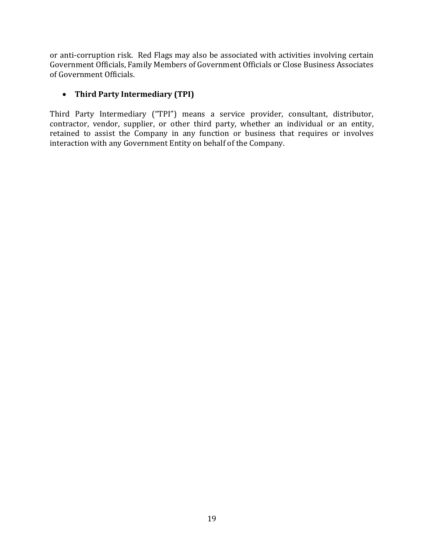or anti-corruption risk. Red Flags may also be associated with activities involving certain Government Officials, Family Members of Government Officials or Close Business Associates of Government Officials.

### • **Third Party Intermediary (TPI)**

Third Party Intermediary ("TPI") means a service provider, consultant, distributor, contractor, vendor, supplier, or other third party, whether an individual or an entity, retained to assist the Company in any function or business that requires or involves interaction with any Government Entity on behalf of the Company.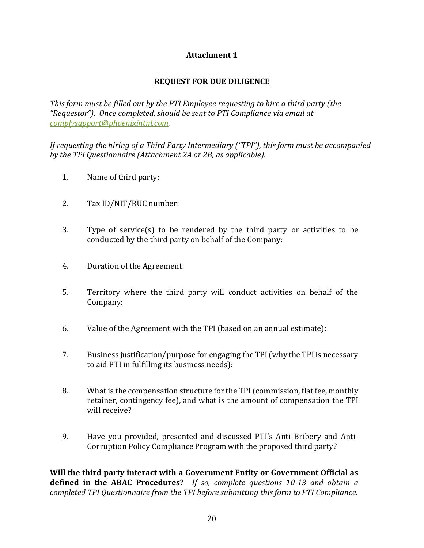### **Attachment 1**

### **REQUEST FOR DUE DILIGENCE**

*This form must be filled out by the PTI Employee requesting to hire a third party (the "Requestor"). Once completed, should be sent to PTI Compliance via email at [complysupport@phoenixintnl.com.](mailto:complysupport@phoenixintnl.com)* 

*If requesting the hiring of a Third Party Intermediary ("TPI"), this form must be accompanied by the TPI Questionnaire (Attachment 2A or 2B, as applicable).*

- 1. Name of third party:
- 2. Tax ID/NIT/RUC number:
- 3. Type of service(s) to be rendered by the third party or activities to be conducted by the third party on behalf of the Company:
- 4. Duration of the Agreement:
- 5. Territory where the third party will conduct activities on behalf of the Company:
- 6. Value of the Agreement with the TPI (based on an annual estimate):
- 7. Business justification/purpose for engaging the TPI (why the TPI is necessary to aid PTI in fulfilling its business needs):
- 8. What is the compensation structure for the TPI (commission, flat fee, monthly retainer, contingency fee), and what is the amount of compensation the TPI will receive?
- 9. Have you provided, presented and discussed PTI's Anti-Bribery and Anti-Corruption Policy Compliance Program with the proposed third party?

**Will the third party interact with a Government Entity or Government Official as defined in the ABAC Procedures?** *If so, complete questions 10-13 and obtain a completed TPI Questionnaire from the TPI before submitting this form to PTI Compliance.*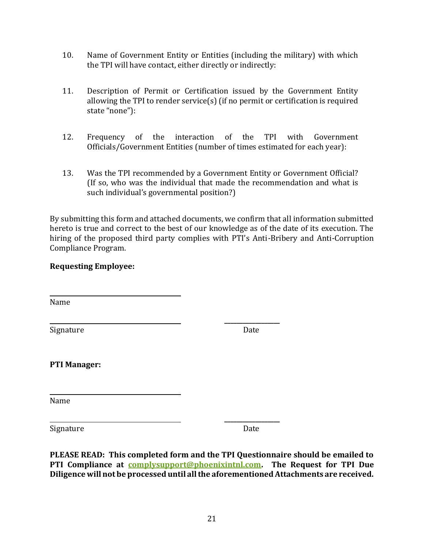- 10. Name of Government Entity or Entities (including the military) with which the TPI will have contact, either directly or indirectly:
- 11. Description of Permit or Certification issued by the Government Entity allowing the TPI to render service(s) (if no permit or certification is required state "none"):
- 12. Frequency of the interaction of the TPI with Government Officials/Government Entities (number of times estimated for each year):
- 13. Was the TPI recommended by a Government Entity or Government Official? (If so, who was the individual that made the recommendation and what is such individual's governmental position?)

By submitting this form and attached documents, we confirm that all information submitted hereto is true and correct to the best of our knowledge as of the date of its execution. The hiring of the proposed third party complies with PTI's Anti-Bribery and Anti-Corruption Compliance Program.

#### **Requesting Employee:**

Name

Signature Date

**\_\_\_\_\_\_\_\_\_\_\_\_\_\_\_\_\_\_**

**PTI Manager:**

Name

Signature Date

**\_\_\_\_\_\_\_\_\_\_\_\_\_\_\_\_\_\_**

**PLEASE READ: This completed form and the TPI Questionnaire should be emailed to PTI Compliance at [complysupport@phoenixintnl.com.](mailto:complysupport@phoenixintnl.com) The Request for TPI Due Diligence will not be processed until all the aforementioned Attachments are received.**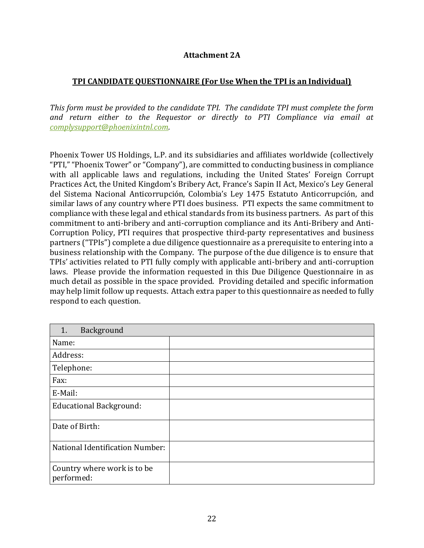#### **Attachment 2A**

#### **TPI CANDIDATE QUESTIONNAIRE (For Use When the TPI is an Individual)**

*This form must be provided to the candidate TPI. The candidate TPI must complete the form and return either to the Requestor or directly to PTI Compliance via email at [complysupport@phoenixintnl.com.](mailto:complysupport@phoenixintnl.com)* 

Phoenix Tower US Holdings, L.P. and its subsidiaries and affiliates worldwide (collectively "PTI," "Phoenix Tower" or "Company"), are committed to conducting business in compliance with all applicable laws and regulations, including the United States' Foreign Corrupt Practices Act, the United Kingdom's Bribery Act, France's Sapin II Act, Mexico's Ley General del Sistema Nacional Anticorrupción, Colombia's Ley 1475 Estatuto Anticorrupción, and similar laws of any country where PTI does business. PTI expects the same commitment to compliance with these legal and ethical standards from its business partners. As part of this commitment to anti-bribery and anti-corruption compliance and its Anti-Bribery and Anti-Corruption Policy, PTI requires that prospective third-party representatives and business partners ("TPIs") complete a due diligence questionnaire as a prerequisite to entering into a business relationship with the Company. The purpose of the due diligence is to ensure that TPIs' activities related to PTI fully comply with applicable anti-bribery and anti-corruption laws. Please provide the information requested in this Due Diligence Questionnaire in as much detail as possible in the space provided. Providing detailed and specific information may help limit follow up requests. Attach extra paper to this questionnaire as needed to fully respond to each question.

| Background<br>1.                          |  |
|-------------------------------------------|--|
| Name:                                     |  |
| Address:                                  |  |
| Telephone:                                |  |
| Fax:                                      |  |
| E-Mail:                                   |  |
| <b>Educational Background:</b>            |  |
| Date of Birth:                            |  |
| <b>National Identification Number:</b>    |  |
| Country where work is to be<br>performed: |  |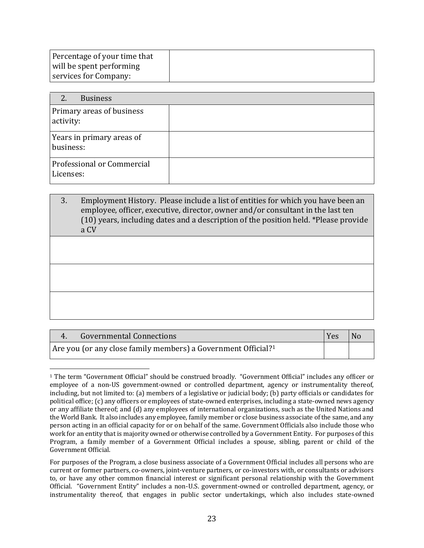| Percentage of your time that |  |
|------------------------------|--|
| will be spent performing     |  |
| services for Company:        |  |

| 2.<br><b>Business</b>                   |  |
|-----------------------------------------|--|
| Primary areas of business<br>activity:  |  |
| Years in primary areas of<br>business:  |  |
| Professional or Commercial<br>Licenses: |  |

3. Employment History. Please include a list of entities for which you have been an employee, officer, executive, director, owner and/or consultant in the last ten (10) years, including dates and a description of the position held. \*Please provide a CV

| <b>Governmental Connections</b>                                           | Yes | No |
|---------------------------------------------------------------------------|-----|----|
| Are you (or any close family members) a Government Official? <sup>1</sup> |     |    |

<sup>1</sup> The term "Government Official" should be construed broadly. "Government Official" includes any officer or employee of a non-US government-owned or controlled department, agency or instrumentality thereof, including, but not limited to: (a) members of a legislative or judicial body; (b) party officials or candidates for political office; (c) any officers or employees of state-owned enterprises, including a state-owned news agency or any affiliate thereof; and (d) any employees of international organizations, such as the United Nations and the World Bank. It also includes any employee, family member or close business associate of the same, and any person acting in an official capacity for or on behalf of the same. Government Officials also include those who work for an entity that is majority owned or otherwise controlled by a Government Entity. For purposes of this Program, a family member of a Government Official includes a spouse, sibling, parent or child of the Government Official.

For purposes of the Program, a close business associate of a Government Official includes all persons who are current or former partners, co-owners, joint-venture partners, or co-investors with, or consultants or advisors to, or have any other common financial interest or significant personal relationship with the Government Official. "Government Entity" includes a non-U.S. government-owned or controlled department, agency, or instrumentality thereof, that engages in public sector undertakings, which also includes state-owned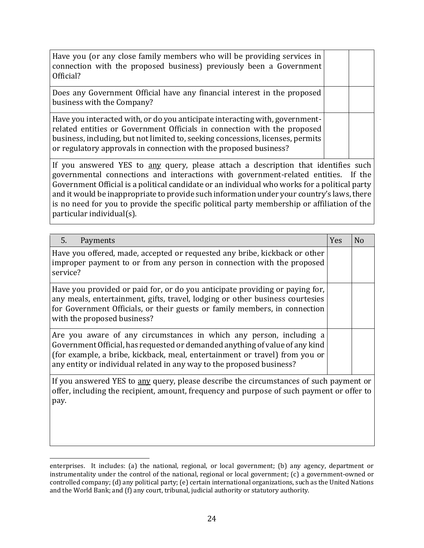| Have you (or any close family members who will be providing services in<br>connection with the proposed business) previously been a Government<br>Official?                                                                                                                                                      |  |  |
|------------------------------------------------------------------------------------------------------------------------------------------------------------------------------------------------------------------------------------------------------------------------------------------------------------------|--|--|
| Does any Government Official have any financial interest in the proposed<br>business with the Company?                                                                                                                                                                                                           |  |  |
| Have you interacted with, or do you anticipate interacting with, government-<br>related entities or Government Officials in connection with the proposed<br>business, including, but not limited to, seeking concessions, licenses, permits<br>or regulatory approvals in connection with the proposed business? |  |  |
| If you answered YES to any query, please attach a description that identifies such<br>governmental connections and interactions with government-related entities. If the<br>Government Official is a nolitical candidate or an individual who works for a nolitical party                                        |  |  |

Government Official is a political candidate or an individual who works for a political party and it would be inappropriate to provide such information under your country's laws, there is no need for you to provide the specific political party membership or affiliation of the particular individual(s).

| 5 <sub>1</sub><br>Payments                                                                                                                                                                                                                                                                                  | <b>Yes</b> | N <sub>o</sub> |
|-------------------------------------------------------------------------------------------------------------------------------------------------------------------------------------------------------------------------------------------------------------------------------------------------------------|------------|----------------|
| Have you offered, made, accepted or requested any bribe, kickback or other<br>improper payment to or from any person in connection with the proposed<br>service?                                                                                                                                            |            |                |
| Have you provided or paid for, or do you anticipate providing or paying for,<br>any meals, entertainment, gifts, travel, lodging or other business courtesies<br>for Government Officials, or their guests or family members, in connection<br>with the proposed business?                                  |            |                |
| Are you aware of any circumstances in which any person, including a<br>Government Official, has requested or demanded anything of value of any kind<br>(for example, a bribe, kickback, meal, entertainment or travel) from you or<br>any entity or individual related in any way to the proposed business? |            |                |
| If you answered YES to any query, please describe the circumstances of such payment or<br>offer, including the recipient, amount, frequency and purpose of such payment or offer to<br>pay.                                                                                                                 |            |                |

enterprises. It includes: (a) the national, regional, or local government; (b) any agency, department or instrumentality under the control of the national, regional or local government; (c) a government-owned or controlled company; (d) any political party; (e) certain international organizations, such as the United Nations and the World Bank; and (f) any court, tribunal, judicial authority or statutory authority.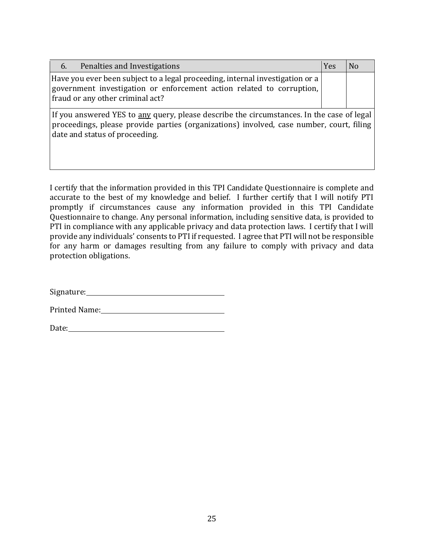| Penalties and Investigations<br>6.                                                                                                                                                                                      | Yes | No |
|-------------------------------------------------------------------------------------------------------------------------------------------------------------------------------------------------------------------------|-----|----|
| Have you ever been subject to a legal proceeding, internal investigation or a<br>government investigation or enforcement action related to corruption,<br>fraud or any other criminal act?                              |     |    |
| If you answered YES to any query, please describe the circumstances. In the case of legal<br>proceedings, please provide parties (organizations) involved, case number, court, filing<br>date and status of proceeding. |     |    |

I certify that the information provided in this TPI Candidate Questionnaire is complete and accurate to the best of my knowledge and belief. I further certify that I will notify PTI promptly if circumstances cause any information provided in this TPI Candidate Questionnaire to change. Any personal information, including sensitive data, is provided to PTI in compliance with any applicable privacy and data protection laws. I certify that I will provide any individuals' consents to PTI if requested. I agree that PTI will not be responsible for any harm or damages resulting from any failure to comply with privacy and data protection obligations.

Signature: Signature:

Printed Name:

Date: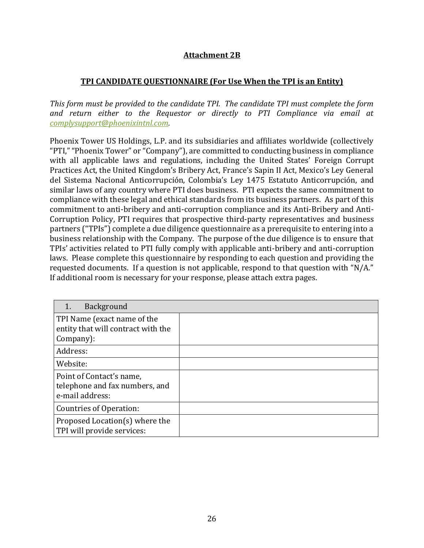### **Attachment 2B**

#### **TPI CANDIDATE QUESTIONNAIRE (For Use When the TPI is an Entity)**

*This form must be provided to the candidate TPI. The candidate TPI must complete the form and return either to the Requestor or directly to PTI Compliance via email at [complysupport@phoenixintnl.com.](mailto:complysupport@phoenixintnl.com)*

Phoenix Tower US Holdings, L.P. and its subsidiaries and affiliates worldwide (collectively "PTI," "Phoenix Tower" or "Company"), are committed to conducting business in compliance with all applicable laws and regulations, including the United States' Foreign Corrupt Practices Act, the United Kingdom's Bribery Act, France's Sapin II Act, Mexico's Ley General del Sistema Nacional Anticorrupción, Colombia's Ley 1475 Estatuto Anticorrupción, and similar laws of any country where PTI does business. PTI expects the same commitment to compliance with these legal and ethical standards from its business partners. As part of this commitment to anti-bribery and anti-corruption compliance and its Anti-Bribery and Anti-Corruption Policy, PTI requires that prospective third-party representatives and business partners ("TPIs") complete a due diligence questionnaire as a prerequisite to entering into a business relationship with the Company. The purpose of the due diligence is to ensure that TPIs' activities related to PTI fully comply with applicable anti-bribery and anti-corruption laws. Please complete this questionnaire by responding to each question and providing the requested documents. If a question is not applicable, respond to that question with "N/A." If additional room is necessary for your response, please attach extra pages.

| Background                                                                     |  |
|--------------------------------------------------------------------------------|--|
| TPI Name (exact name of the<br>entity that will contract with the<br>Company): |  |
| Address:                                                                       |  |
| Website:                                                                       |  |
| Point of Contact's name,<br>telephone and fax numbers, and<br>e-mail address:  |  |
| <b>Countries of Operation:</b>                                                 |  |
| Proposed Location(s) where the<br>TPI will provide services:                   |  |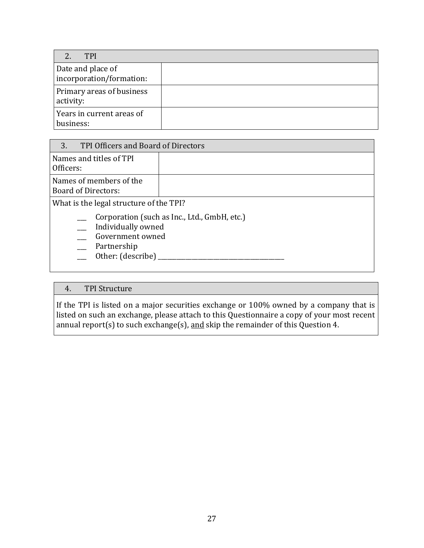| TPI                                           |  |
|-----------------------------------------------|--|
| Date and place of<br>incorporation/formation: |  |
| Primary areas of business<br>activity:        |  |
| Years in current areas of<br>business:        |  |

| 3.<br>TPI Officers and Board of Directors                                                                             |                                              |
|-----------------------------------------------------------------------------------------------------------------------|----------------------------------------------|
| Names and titles of TPI<br>Officers:                                                                                  |                                              |
| Names of members of the<br><b>Board of Directors:</b>                                                                 |                                              |
| What is the legal structure of the TPI?<br>Individually owned<br>Government owned<br>Partnership<br>Other: (describe) | Corporation (such as Inc., Ltd., GmbH, etc.) |

### 4. TPI Structure

If the TPI is listed on a major securities exchange or 100% owned by a company that is listed on such an exchange, please attach to this Questionnaire a copy of your most recent annual report(s) to such exchange(s), and skip the remainder of this Question 4.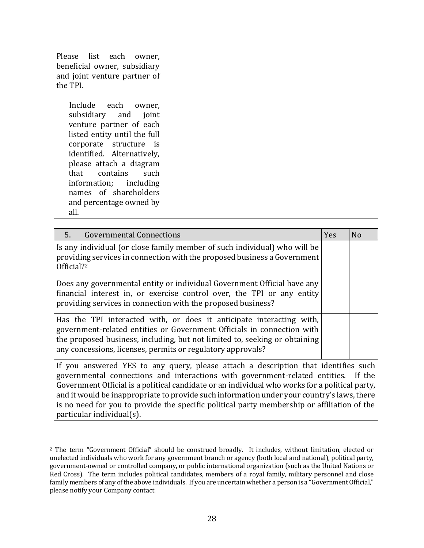| Please list each owner,<br>beneficial owner, subsidiary<br>and joint venture partner of<br>the TPI.                                                                                                                                                                                                   |  |
|-------------------------------------------------------------------------------------------------------------------------------------------------------------------------------------------------------------------------------------------------------------------------------------------------------|--|
| Include each owner,<br>subsidiary and joint<br>venture partner of each<br>listed entity until the full<br>corporate structure is<br>identified. Alternatively,<br>please attach a diagram<br>that contains such<br>information; including<br>names of shareholders<br>and percentage owned by<br>all. |  |

| 5 <sub>1</sub><br><b>Governmental Connections</b>                                                                                                                                                                                                                                           | Yes | N <sub>o</sub> |
|---------------------------------------------------------------------------------------------------------------------------------------------------------------------------------------------------------------------------------------------------------------------------------------------|-----|----------------|
| Is any individual (or close family member of such individual) who will be<br>providing services in connection with the proposed business a Government<br>Official? <sup>2</sup>                                                                                                             |     |                |
| Does any governmental entity or individual Government Official have any<br>financial interest in, or exercise control over, the TPI or any entity<br>providing services in connection with the proposed business?                                                                           |     |                |
| Has the TPI interacted with, or does it anticipate interacting with,<br>government-related entities or Government Officials in connection with<br>the proposed business, including, but not limited to, seeking or obtaining<br>any concessions, licenses, permits or regulatory approvals? |     |                |
| If you answered YES to any query, please attach a description that identifies such<br>governmental connections and interactions with government-related entities. If the<br>Covernment Official is a political candidate aren individual who works for a political porty                    |     |                |

Government Official is a political candidate or an individual who works for a political party, and it would be inappropriate to provide such information under your country's laws, there is no need for you to provide the specific political party membership or affiliation of the particular individual(s).

<sup>2</sup> The term "Government Official" should be construed broadly. It includes, without limitation, elected or unelected individuals who work for any government branch or agency (both local and national), political party, government-owned or controlled company, or public international organization (such as the United Nations or Red Cross). The term includes political candidates, members of a royal family, military personnel and close family members of any of the above individuals. If you are uncertain whether a person is a "Government Official," please notify your Company contact.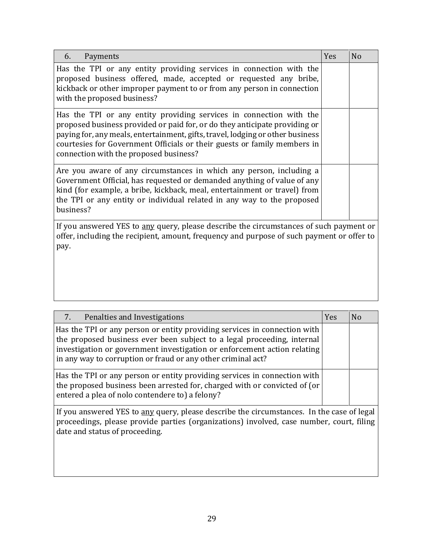| Payments<br>6.                                                                                                                                                                                                                                                                                                                                            | Yes | N <sub>o</sub> |
|-----------------------------------------------------------------------------------------------------------------------------------------------------------------------------------------------------------------------------------------------------------------------------------------------------------------------------------------------------------|-----|----------------|
| Has the TPI or any entity providing services in connection with the<br>proposed business offered, made, accepted or requested any bribe,<br>kickback or other improper payment to or from any person in connection<br>with the proposed business?                                                                                                         |     |                |
| Has the TPI or any entity providing services in connection with the<br>proposed business provided or paid for, or do they anticipate providing or<br>paying for, any meals, entertainment, gifts, travel, lodging or other business<br>courtesies for Government Officials or their guests or family members in<br>connection with the proposed business? |     |                |
| Are you aware of any circumstances in which any person, including a<br>Government Official, has requested or demanded anything of value of any<br>kind (for example, a bribe, kickback, meal, entertainment or travel) from<br>the TPI or any entity or individual related in any way to the proposed<br>business?                                        |     |                |
| If you answered YES to any query, please describe the circumstances of such payment or<br>offer, including the recipient, amount, frequency and purpose of such payment or offer to<br>pay.                                                                                                                                                               |     |                |

| 7.<br>Penalties and Investigations                                                                                                                                                                                                                                                               | Yes | N <sub>o</sub> |
|--------------------------------------------------------------------------------------------------------------------------------------------------------------------------------------------------------------------------------------------------------------------------------------------------|-----|----------------|
| Has the TPI or any person or entity providing services in connection with<br>the proposed business ever been subject to a legal proceeding, internal<br>investigation or government investigation or enforcement action relating<br>in any way to corruption or fraud or any other criminal act? |     |                |
| Has the TPI or any person or entity providing services in connection with<br>the proposed business been arrested for, charged with or convicted of (or<br>entered a plea of nolo contendere to) a felony?                                                                                        |     |                |
| If you answered YES to any query, please describe the circumstances. In the case of legal<br>proceedings, please provide parties (organizations) involved, case number, court, filing<br>date and status of proceeding.                                                                          |     |                |

 $\mathbf{I}$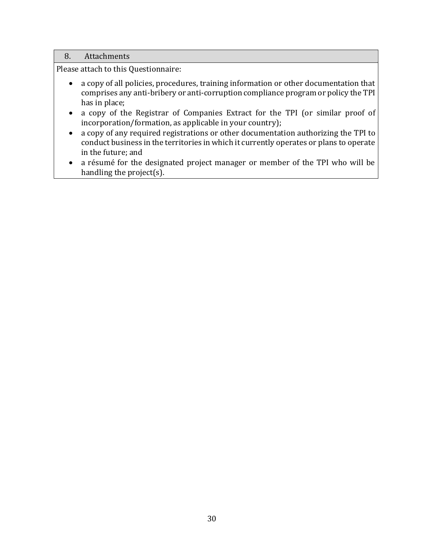#### 8. Attachments

Please attach to this Questionnaire:

- a copy of all policies, procedures, training information or other documentation that comprises any anti-bribery or anti-corruption compliance program or policy the TPI has in place;
- a copy of the Registrar of Companies Extract for the TPI (or similar proof of incorporation/formation, as applicable in your country);
- a copy of any required registrations or other documentation authorizing the TPI to conduct business in the territories in which it currently operates or plans to operate in the future; and
- a résumé for the designated project manager or member of the TPI who will be handling the project(s).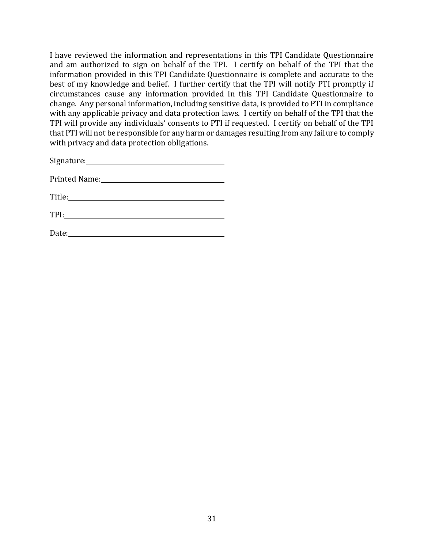I have reviewed the information and representations in this TPI Candidate Questionnaire and am authorized to sign on behalf of the TPI. I certify on behalf of the TPI that the information provided in this TPI Candidate Questionnaire is complete and accurate to the best of my knowledge and belief. I further certify that the TPI will notify PTI promptly if circumstances cause any information provided in this TPI Candidate Questionnaire to change. Any personal information, including sensitive data, is provided to PTI in compliance with any applicable privacy and data protection laws. I certify on behalf of the TPI that the TPI will provide any individuals' consents to PTI if requested. I certify on behalf of the TPI that PTI will not be responsible for any harm or damages resulting from any failure to comply with privacy and data protection obligations.

| Signature:    |  |  |
|---------------|--|--|
|               |  |  |
| Printed Name: |  |  |

Title:

| TDI<br>$\bf{l}$<br>- |  |  |
|----------------------|--|--|
|                      |  |  |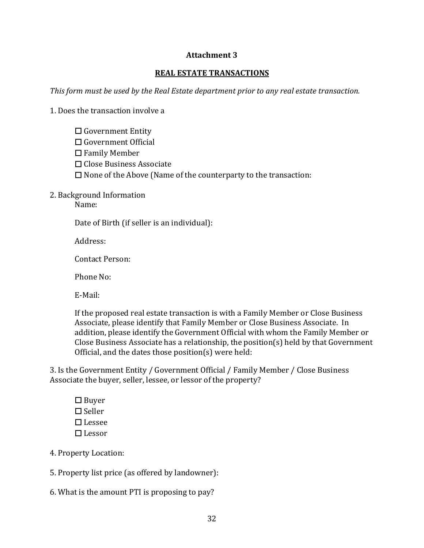#### **Attachment 3**

#### **REAL ESTATE TRANSACTIONS**

*This form must be used by the Real Estate department prior to any real estate transaction.* 

1. Does the transaction involve a

- ☐ Government Entity
- ☐ Government Official
- ☐ Family Member
- ☐ Close Business Associate
- $\Box$  None of the Above (Name of the counterparty to the transaction:
- 2. Background Information

Name:

Date of Birth (if seller is an individual):

Address:

Contact Person:

Phone No:

E-Mail:

If the proposed real estate transaction is with a Family Member or Close Business Associate, please identify that Family Member or Close Business Associate. In addition, please identify the Government Official with whom the Family Member or Close Business Associate has a relationship, the position(s) held by that Government Official, and the dates those position(s) were held:

3. Is the Government Entity / Government Official / Family Member / Close Business Associate the buyer, seller, lessee, or lessor of the property?

☐ Buyer ☐ Seller ☐ Lessee ☐ Lessor

4. Property Location:

5. Property list price (as offered by landowner):

6. What is the amount PTI is proposing to pay?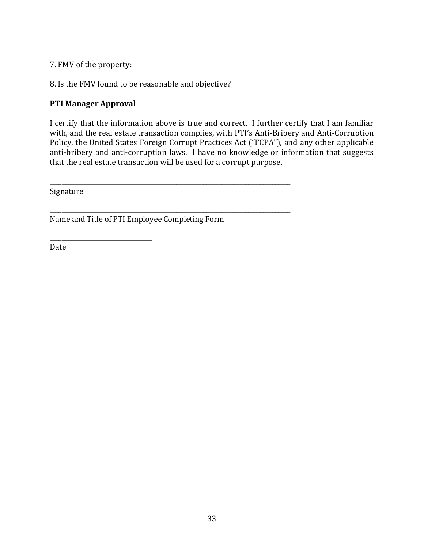7. FMV of the property:

8. Is the FMV found to be reasonable and objective?

#### **PTI Manager Approval**

\_\_\_\_\_\_\_\_\_\_\_\_\_\_\_\_\_\_\_\_\_\_\_\_\_\_\_\_\_\_\_\_\_\_

I certify that the information above is true and correct. I further certify that I am familiar with, and the real estate transaction complies, with PTI's Anti-Bribery and Anti-Corruption Policy, the United States Foreign Corrupt Practices Act ("FCPA"), and any other applicable anti-bribery and anti-corruption laws. I have no knowledge or information that suggests that the real estate transaction will be used for a corrupt purpose.

Signature

Name and Title of PTI Employee Completing Form

\_\_\_\_\_\_\_\_\_\_\_\_\_\_\_\_\_\_\_\_\_\_\_\_\_\_\_\_\_\_\_\_\_\_\_\_\_\_\_\_\_\_\_\_\_\_\_\_\_\_\_\_\_\_\_\_\_\_\_\_\_\_\_\_\_\_\_\_\_\_\_\_\_\_\_\_\_\_\_\_

\_\_\_\_\_\_\_\_\_\_\_\_\_\_\_\_\_\_\_\_\_\_\_\_\_\_\_\_\_\_\_\_\_\_\_\_\_\_\_\_\_\_\_\_\_\_\_\_\_\_\_\_\_\_\_\_\_\_\_\_\_\_\_\_\_\_\_\_\_\_\_\_\_\_\_\_\_\_\_\_

Date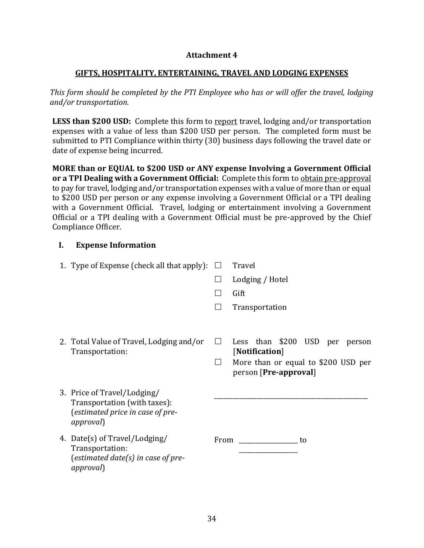#### **Attachment 4**

#### **GIFTS, HOSPITALITY, ENTERTAINING, TRAVEL AND LODGING EXPENSES**

*This form should be completed by the PTI Employee who has or will offer the travel, lodging and/or transportation.*

LESS than \$200 USD: Complete this form to report travel, lodging and/or transportation expenses with a value of less than \$200 USD per person. The completed form must be submitted to PTI Compliance within thirty (30) business days following the travel date or date of expense being incurred.

**MORE than or EQUAL to \$200 USD or ANY expense Involving a Government Official or a TPI Dealing with a Government Official:** Complete this form to obtain pre-approval to pay for travel, lodging and/or transportation expenses with a value of more than or equal to \$200 USD per person or any expense involving a Government Official or a TPI dealing with a Government Official. Travel, lodging or entertainment involving a Government Official or a TPI dealing with a Government Official must be pre-approved by the Chief Compliance Officer.

#### **I. Expense Information**

| 1. Type of Expense (check all that apply):                                                                           | $\perp$ | Travel                                                                                                           |
|----------------------------------------------------------------------------------------------------------------------|---------|------------------------------------------------------------------------------------------------------------------|
|                                                                                                                      |         | Lodging / Hotel                                                                                                  |
|                                                                                                                      |         | Gift                                                                                                             |
|                                                                                                                      |         | Transportation                                                                                                   |
| 2. Total Value of Travel, Lodging and/or<br>Transportation:                                                          | $\perp$ | Less than \$200 USD per person<br>[Notification]<br>More than or equal to \$200 USD per<br>person [Pre-approval] |
| 3. Price of Travel/Lodging/<br>Transportation (with taxes):<br>(estimated price in case of pre-<br><i>approval</i> ) |         |                                                                                                                  |
| 4. Date(s) of Travel/Lodging/<br>Transportation:<br>(estimated date(s) in case of pre-<br><i>approval</i> )          |         | to                                                                                                               |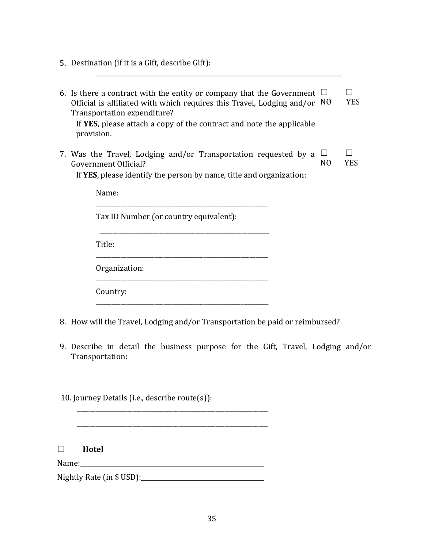5. Destination (if it is a Gift, describe Gift):

| 6. Is there a contract with the entity or company that the Government<br>Official is affiliated with which requires this Travel, Lodging and/or<br>Transportation expenditure?<br>If YES, please attach a copy of the contract and note the applicable<br>provision. | - NO                | YES  |
|----------------------------------------------------------------------------------------------------------------------------------------------------------------------------------------------------------------------------------------------------------------------|---------------------|------|
| 7. Was the Travel, Lodging and/or Transportation requested by a<br>Government Official?<br>If YES, please identify the person by name, title and organization:                                                                                                       | ப<br>N <sub>O</sub> | YES. |
| Name:                                                                                                                                                                                                                                                                |                     |      |
| Tax ID Number (or country equivalent):                                                                                                                                                                                                                               |                     |      |

\_\_\_\_\_\_\_\_\_\_\_\_\_\_\_\_\_\_\_\_\_\_\_\_\_\_\_\_\_\_\_\_\_\_\_\_\_\_\_\_\_\_\_\_\_\_\_\_\_\_\_\_\_\_\_\_\_\_\_\_\_\_\_\_\_\_\_\_\_\_\_\_\_\_\_\_\_\_\_\_

Title:

Organization:

Country:

8. How will the Travel, Lodging and/or Transportation be paid or reimbursed?

\_\_\_\_\_\_\_\_\_\_\_\_\_\_\_\_\_\_\_\_\_\_\_\_\_\_\_\_\_\_\_\_\_\_\_\_\_\_\_\_\_\_\_\_\_\_\_\_\_\_\_\_\_\_\_\_

\_\_\_\_\_\_\_\_\_\_\_\_\_\_\_\_\_\_\_\_\_\_\_\_\_\_\_\_\_\_\_\_\_\_\_\_\_\_\_\_\_\_\_\_\_\_\_\_\_\_\_\_\_\_\_\_

\_\_\_\_\_\_\_\_\_\_\_\_\_\_\_\_\_\_\_\_\_\_\_\_\_\_\_\_\_\_\_\_\_\_\_\_\_\_\_\_\_\_\_\_\_\_\_\_\_\_\_\_\_\_\_\_

9. Describe in detail the business purpose for the Gift, Travel, Lodging and/or Transportation:

10. Journey Details (i.e., describe route(s)):

**Hotel**

Name:

Nightly Rate (in \$ USD): Nightly Rate (in \$ USD):

\_\_\_\_\_\_\_\_\_\_\_\_\_\_\_\_\_\_\_\_\_\_\_\_\_\_\_\_\_\_\_\_\_\_\_\_\_\_\_\_\_\_\_\_\_\_\_\_\_\_\_\_\_\_\_\_\_\_\_\_\_\_

\_\_\_\_\_\_\_\_\_\_\_\_\_\_\_\_\_\_\_\_\_\_\_\_\_\_\_\_\_\_\_\_\_\_\_\_\_\_\_\_\_\_\_\_\_\_\_\_\_\_\_\_\_\_\_\_\_\_\_\_\_\_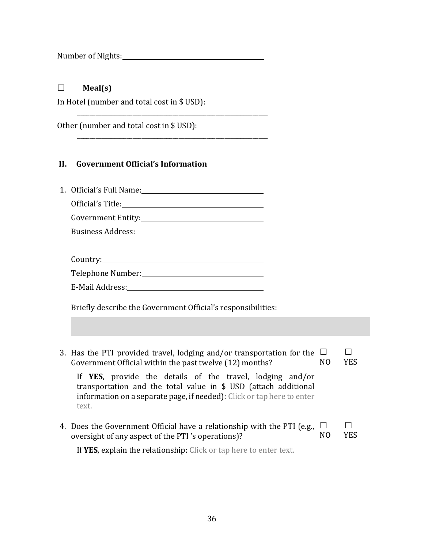Number of Nights:

#### **Meal(s)**

In Hotel (number and total cost in \$ USD):

\_\_\_\_\_\_\_\_\_\_\_\_\_\_\_\_\_\_\_\_\_\_\_\_\_\_\_\_\_\_\_\_\_\_\_\_\_\_\_\_\_\_\_\_\_\_\_\_\_\_\_\_\_\_\_\_\_\_\_\_\_\_

\_\_\_\_\_\_\_\_\_\_\_\_\_\_\_\_\_\_\_\_\_\_\_\_\_\_\_\_\_\_\_\_\_\_\_\_\_\_\_\_\_\_\_\_\_\_\_\_\_\_\_\_\_\_\_\_\_\_\_\_\_\_

Other (number and total cost in \$ USD):

#### **II. Government Official's Information**

| 1. Official's Full Name: 1. 2020 1. 2020 1. 2020 1. 2020 1. 2020 1. 2020 1. 2020 1. 2020 1. 2020 1. 2020 1. 20                                                                                                  |               |     |
|-----------------------------------------------------------------------------------------------------------------------------------------------------------------------------------------------------------------|---------------|-----|
|                                                                                                                                                                                                                 |               |     |
|                                                                                                                                                                                                                 |               |     |
| <u> 1989 - Johann Stoff, amerikansk politiker (* 1908)</u>                                                                                                                                                      |               |     |
|                                                                                                                                                                                                                 |               |     |
|                                                                                                                                                                                                                 |               |     |
| Briefly describe the Government Official's responsibilities:                                                                                                                                                    |               |     |
|                                                                                                                                                                                                                 |               |     |
| 3. Has the PTI provided travel, lodging and/or transportation for the<br>Government Official within the past twelve (12) months?                                                                                | $\Box$<br>NO. | YES |
| If YES, provide the details of the travel, lodging and/or<br>transportation and the total value in \$ USD (attach additional<br>information on a separate page, if needed): Click or tap here to enter<br>text. |               |     |

4. Does the Government Official have a relationship with the PTI (e.g., oversight of any aspect of the PTI 's operations)?  $\Box$ NO YES

If **YES**, explain the relationship: Click or tap here to enter text.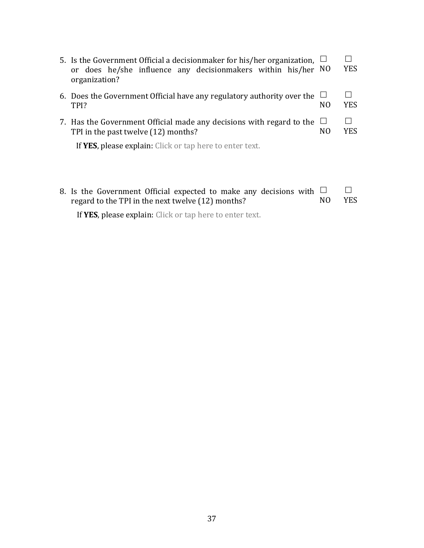| 5. Is the Government Official a decisionmaker for his/her organization,<br>or does he/she influence any decisionmakers within his/her NO<br>organization? |                          | <b>YES</b> |
|-----------------------------------------------------------------------------------------------------------------------------------------------------------|--------------------------|------------|
| 6. Does the Government Official have any regulatory authority over the<br>TPI?                                                                            | NO.                      | <b>YES</b> |
| 7. Has the Government Official made any decisions with regard to the<br>TPI in the past twelve (12) months?                                               | $\Box$<br>N <sub>0</sub> | YES        |
| If YES, please explain: Click or tap here to enter text.                                                                                                  |                          |            |
|                                                                                                                                                           |                          |            |
|                                                                                                                                                           |                          |            |

| 8. Is the Government Official expected to make any decisions with $\Box$ |     |            |
|--------------------------------------------------------------------------|-----|------------|
| regard to the TPI in the next twelve (12) months?                        | NO. | <b>YES</b> |
| If YES, please explain: Click or tap here to enter text.                 |     |            |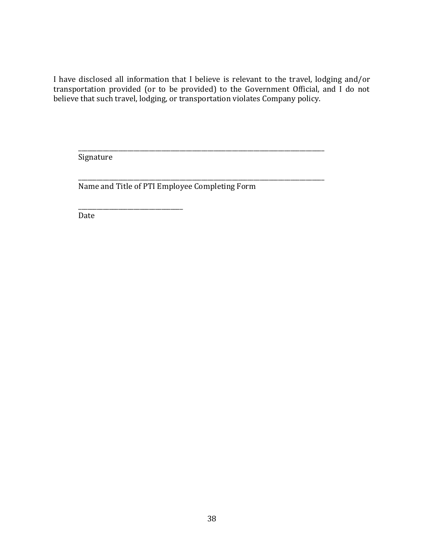I have disclosed all information that I believe is relevant to the travel, lodging and/or transportation provided (or to be provided) to the Government Official, and I do not believe that such travel, lodging, or transportation violates Company policy.

\_\_\_\_\_\_\_\_\_\_\_\_\_\_\_\_\_\_\_\_\_\_\_\_\_\_\_\_\_\_\_\_\_\_\_\_\_\_\_\_\_\_\_\_\_\_\_\_\_\_\_\_\_\_\_\_\_\_\_\_\_\_\_\_\_\_\_\_\_\_\_\_\_\_\_\_\_\_\_\_

\_\_\_\_\_\_\_\_\_\_\_\_\_\_\_\_\_\_\_\_\_\_\_\_\_\_\_\_\_\_\_\_\_\_\_\_\_\_\_\_\_\_\_\_\_\_\_\_\_\_\_\_\_\_\_\_\_\_\_\_\_\_\_\_\_\_\_\_\_\_\_\_\_\_\_\_\_\_\_\_

Signature

Name and Title of PTI Employee Completing Form

\_\_\_\_\_\_\_\_\_\_\_\_\_\_\_\_\_\_\_\_\_\_\_\_\_\_\_\_\_\_\_\_\_\_

Date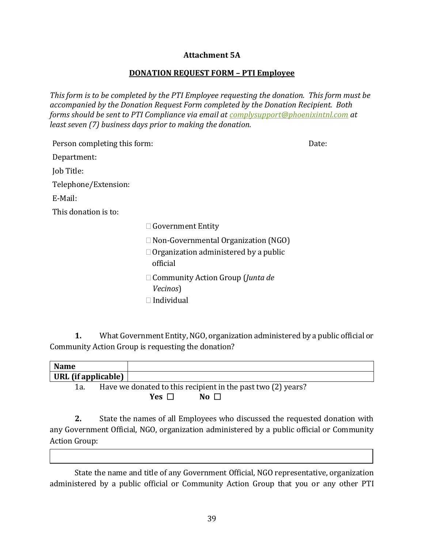#### **Attachment 5A**

#### **DONATION REQUEST FORM – PTI Employee**

*This form is to be completed by the PTI Employee requesting the donation. This form must be accompanied by the Donation Request Form completed by the Donation Recipient. Both forms should be sent to PTI Compliance via email at [complysupport@phoenixintnl.com](mailto:complysupport@phoenixintnl.com) at least seven (7) business days prior to making the donation.* 

| Person completing this form:<br>Date: |                                                                                                        |  |  |  |
|---------------------------------------|--------------------------------------------------------------------------------------------------------|--|--|--|
| Department:                           |                                                                                                        |  |  |  |
| Job Title:                            |                                                                                                        |  |  |  |
| Telephone/Extension:                  |                                                                                                        |  |  |  |
| E-Mail:                               |                                                                                                        |  |  |  |
| This donation is to:                  |                                                                                                        |  |  |  |
|                                       | $\Box$ Government Entity                                                                               |  |  |  |
|                                       | $\Box$ Non-Governmental Organization (NGO)<br>$\Box$ Organization administered by a public<br>official |  |  |  |
|                                       | $\Box$ Community Action Group ( <i>Junta de</i><br>Vecinos)<br>$\Box$ Individual                       |  |  |  |

**1.** What Government Entity, NGO, organization administered by a public official or Community Action Group is requesting the donation?

| <b>Name</b>                                 |                                                              |
|---------------------------------------------|--------------------------------------------------------------|
| $\mathsf{URL}$ (if applicable) $\mathsf{I}$ |                                                              |
| 1a.                                         | Have we donated to this recipient in the past two (2) years? |

**Yes** ☐ **No** ☐

**2.** State the names of all Employees who discussed the requested donation with any Government Official, NGO, organization administered by a public official or Community Action Group:

State the name and title of any Government Official, NGO representative, organization administered by a public official or Community Action Group that you or any other PTI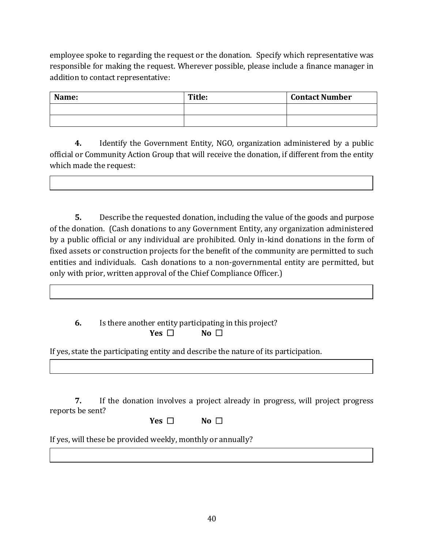employee spoke to regarding the request or the donation. Specify which representative was responsible for making the request. Wherever possible, please include a finance manager in addition to contact representative:

| Name: | Title: | <b>Contact Number</b> |
|-------|--------|-----------------------|
|       |        |                       |
|       |        |                       |

**4.** Identify the Government Entity, NGO, organization administered by a public official or Community Action Group that will receive the donation, if different from the entity which made the request:

**5.** Describe the requested donation, including the value of the goods and purpose of the donation. (Cash donations to any Government Entity, any organization administered by a public official or any individual are prohibited. Only in-kind donations in the form of fixed assets or construction projects for the benefit of the community are permitted to such entities and individuals. Cash donations to a non-governmental entity are permitted, but only with prior, written approval of the Chief Compliance Officer.)

**6.** Is there another entity participating in this project? **Yes** ☐ **No** ☐

If yes, state the participating entity and describe the nature of its participation.

**7.** If the donation involves a project already in progress, will project progress reports be sent?

| <b>Ves</b> | Nο |  |
|------------|----|--|
|------------|----|--|

If yes, will these be provided weekly, monthly or annually?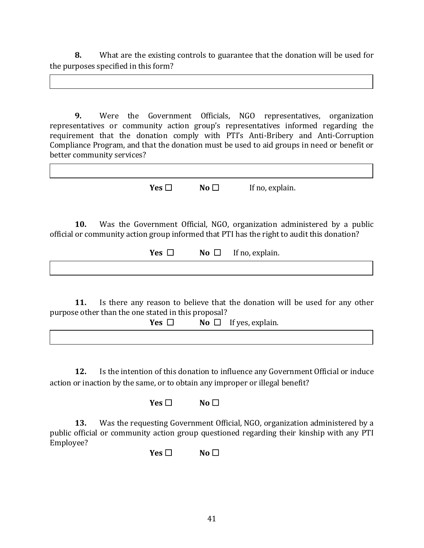**8.** What are the existing controls to guarantee that the donation will be used for the purposes specified in this form?

**9.** Were the Government Officials, NGO representatives, organization representatives or community action group's representatives informed regarding the requirement that the donation comply with PTI's Anti-Bribery and Anti-Corruption Compliance Program, and that the donation must be used to aid groups in need or benefit or better community services?

**Yes** □ **No** □ If no, explain.

**10.** Was the Government Official, NGO, organization administered by a public official or community action group informed that PTI has the right to audit this donation?

**Yes** ☐ **No** ☐If no, explain.

**11.** Is there any reason to believe that the donation will be used for any other purpose other than the one stated in this proposal?

| Yes $\Gamma$ | <b>No</b> $\Box$ If yes, explain. |
|--------------|-----------------------------------|
|              |                                   |

**12.** Is the intention of this donation to influence any Government Official or induce action or inaction by the same, or to obtain any improper or illegal benefit?

**Yes** ☐ **No** ☐

**13.** Was the requesting Government Official, NGO, organization administered by a public official or community action group questioned regarding their kinship with any PTI Employee?

**Yes** □ **No** □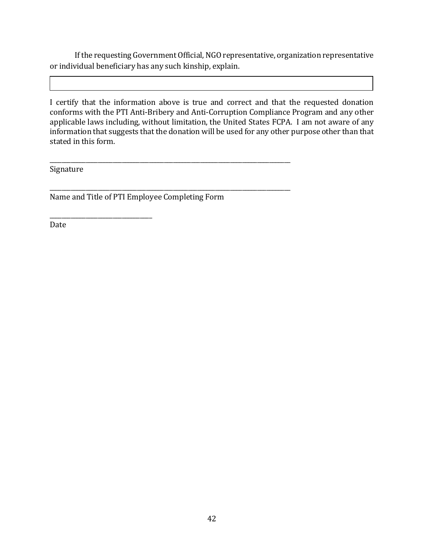If the requesting Government Official, NGO representative, organization representative or individual beneficiary has any such kinship, explain.

I certify that the information above is true and correct and that the requested donation conforms with the PTI Anti-Bribery and Anti-Corruption Compliance Program and any other applicable laws including, without limitation, the United States FCPA. I am not aware of any information that suggests that the donation will be used for any other purpose other than that stated in this form.

Signature

Name and Title of PTI Employee Completing Form

\_\_\_\_\_\_\_\_\_\_\_\_\_\_\_\_\_\_\_\_\_\_\_\_\_\_\_\_\_\_\_\_\_\_

\_\_\_\_\_\_\_\_\_\_\_\_\_\_\_\_\_\_\_\_\_\_\_\_\_\_\_\_\_\_\_\_\_\_\_\_\_\_\_\_\_\_\_\_\_\_\_\_\_\_\_\_\_\_\_\_\_\_\_\_\_\_\_\_\_\_\_\_\_\_\_\_\_\_\_\_\_\_\_\_

\_\_\_\_\_\_\_\_\_\_\_\_\_\_\_\_\_\_\_\_\_\_\_\_\_\_\_\_\_\_\_\_\_\_\_\_\_\_\_\_\_\_\_\_\_\_\_\_\_\_\_\_\_\_\_\_\_\_\_\_\_\_\_\_\_\_\_\_\_\_\_\_\_\_\_\_\_\_\_\_

Date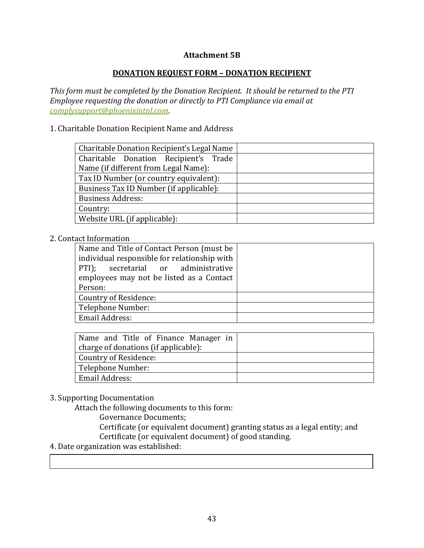#### **Attachment 5B**

#### **DONATION REQUEST FORM – DONATION RECIPIENT**

*This form must be completed by the Donation Recipient. It should be returned to the PTI Employee requesting the donation or directly to PTI Compliance via email at [complysupport@phoenixintnl.com.](mailto:complysupport@phoenixintnl.com)*

#### 1. Charitable Donation Recipient Name and Address

| Charitable Donation Recipient's Legal Name |  |  |  |
|--------------------------------------------|--|--|--|
| Charitable Donation Recipient's Trade      |  |  |  |
| Name (if different from Legal Name):       |  |  |  |
| Tax ID Number (or country equivalent):     |  |  |  |
| Business Tax ID Number (if applicable):    |  |  |  |
| <b>Business Address:</b>                   |  |  |  |
| Country:                                   |  |  |  |
| Website URL (if applicable):               |  |  |  |

#### 2. Contact Information

| Name and Title of Contact Person (must be<br>individual responsible for relationship with<br>PTI); secretarial or administrative<br>employees may not be listed as a Contact<br>Person: |  |
|-----------------------------------------------------------------------------------------------------------------------------------------------------------------------------------------|--|
|                                                                                                                                                                                         |  |
| Country of Residence:                                                                                                                                                                   |  |
| Telephone Number:                                                                                                                                                                       |  |
| Email Address:                                                                                                                                                                          |  |

| Name and Title of Finance Manager in |  |
|--------------------------------------|--|
| charge of donations (if applicable): |  |
| Country of Residence:                |  |
| Telephone Number:                    |  |
| Email Address:                       |  |

### 3. Supporting Documentation

Attach the following documents to this form:

Governance Documents;

Certificate (or equivalent document) granting status as a legal entity; and Certificate (or equivalent document) of good standing.

#### 4. Date organization was established: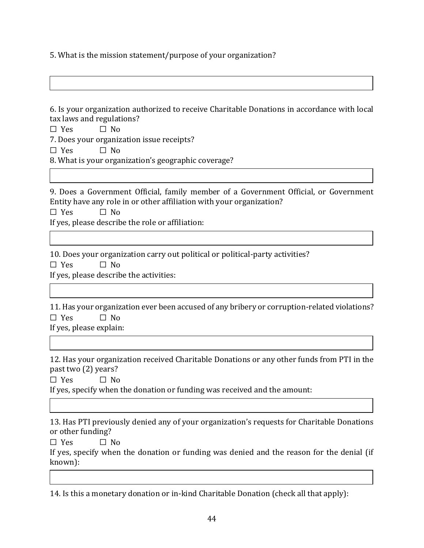5. What is the mission statement/purpose of your organization?

6. Is your organization authorized to receive Charitable Donations in accordance with local tax laws and regulations?

☐ Yes ☐ No

7. Does your organization issue receipts?

 $\Box$  Yes  $\Box$  No

8. What is your organization's geographic coverage?

9. Does a Government Official, family member of a Government Official, or Government Entity have any role in or other affiliation with your organization?

 $\square$  Yes  $\square$  No If yes, please describe the role or affiliation:

10. Does your organization carry out political or political-party activities?  $\Box$  Yes  $\Box$  No If yes, please describe the activities:

11. Has your organization ever been accused of any bribery or corruption-related violations?  $\Box$  Yes  $\Box$  No If yes, please explain:

12. Has your organization received Charitable Donations or any other funds from PTI in the

past two (2) years?  $\Box$  Yes  $\Box$  No

If yes, specify when the donation or funding was received and the amount:

13. Has PTI previously denied any of your organization's requests for Charitable Donations or other funding?

 $\square$  Yes  $\square$  No

If yes, specify when the donation or funding was denied and the reason for the denial (if known):

14. Is this a monetary donation or in-kind Charitable Donation (check all that apply):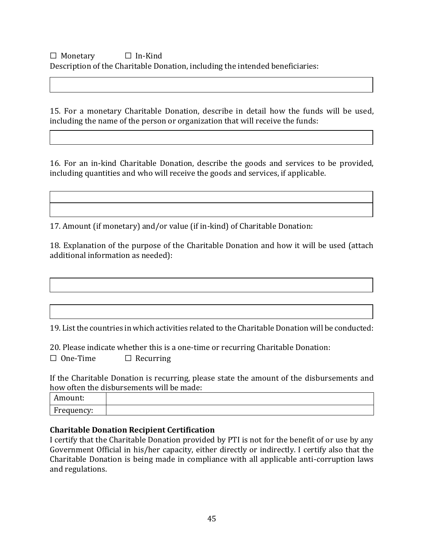# ☐ Monetary ☐ In-Kind Description of the Charitable Donation, including the intended beneficiaries:

15. For a monetary Charitable Donation, describe in detail how the funds will be used, including the name of the person or organization that will receive the funds:

16. For an in-kind Charitable Donation, describe the goods and services to be provided, including quantities and who will receive the goods and services, if applicable.

17. Amount (if monetary) and/or value (if in-kind) of Charitable Donation:

18. Explanation of the purpose of the Charitable Donation and how it will be used (attach additional information as needed):

19. List the countries in which activities related to the Charitable Donation will be conducted:

20. Please indicate whether this is a one-time or recurring Charitable Donation:  $\Box$  One-Time  $\Box$  Recurring

If the Charitable Donation is recurring, please state the amount of the disbursements and how often the disbursements will be made:

| $\sim \cdots$<br>TOUITL:<br><b>TTTT</b> |  |
|-----------------------------------------|--|
| $\mathbf{r}$<br>Frequency:              |  |

#### **Charitable Donation Recipient Certification**

I certify that the Charitable Donation provided by PTI is not for the benefit of or use by any Government Official in his/her capacity, either directly or indirectly. I certify also that the Charitable Donation is being made in compliance with all applicable anti-corruption laws and regulations.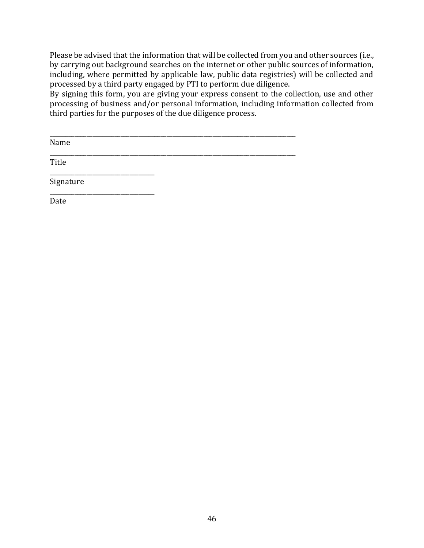Please be advised that the information that will be collected from you and other sources (i.e., by carrying out background searches on the internet or other public sources of information, including, where permitted by applicable law, public data registries) will be collected and processed by a third party engaged by PTI to perform due diligence.

By signing this form, you are giving your express consent to the collection, use and other processing of business and/or personal information, including information collected from third parties for the purposes of the due diligence process.

| Name      |  |  |
|-----------|--|--|
| Title     |  |  |
| Signature |  |  |
| Date      |  |  |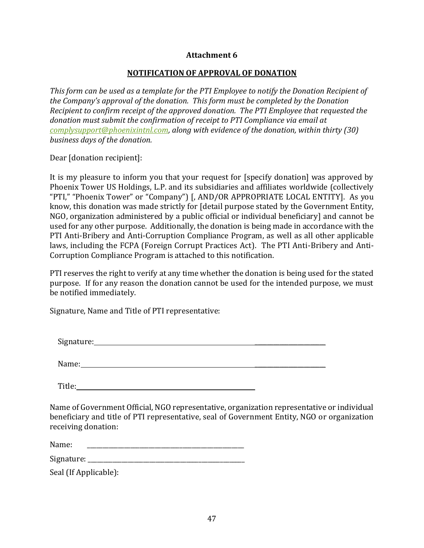#### **Attachment 6**

#### **NOTIFICATION OF APPROVAL OF DONATION**

*This form can be used as a template for the PTI Employee to notify the Donation Recipient of the Company's approval of the donation. This form must be completed by the Donation Recipient to confirm receipt of the approved donation. The PTI Employee that requested the donation must submit the confirmation of receipt to PTI Compliance via email at [complysupport@phoenixintnl.com,](mailto:complysupport@phoenixintnl.com) along with evidence of the donation, within thirty (30) business days of the donation.*

Dear [donation recipient]:

It is my pleasure to inform you that your request for [specify donation] was approved by Phoenix Tower US Holdings, L.P. and its subsidiaries and affiliates worldwide (collectively "PTI," "Phoenix Tower" or "Company") [, AND/OR APPROPRIATE LOCAL ENTITY]. As you know, this donation was made strictly for [detail purpose stated by the Government Entity, NGO, organization administered by a public official or individual beneficiary] and cannot be used for any other purpose. Additionally, the donation is being made in accordance with the PTI Anti-Bribery and Anti-Corruption Compliance Program, as well as all other applicable laws, including the FCPA (Foreign Corrupt Practices Act). The PTI Anti-Bribery and Anti-Corruption Compliance Program is attached to this notification.

PTI reserves the right to verify at any time whether the donation is being used for the stated purpose. If for any reason the donation cannot be used for the intended purpose, we must be notified immediately.

Signature, Name and Title of PTI representative:

Signature: \_\_\_\_\_\_\_\_\_\_\_\_\_\_\_\_\_\_\_\_\_\_\_

Name: 2008. **Name:** 2008. **Name:** 2008. **Name:** 2008. **Name:** 2008. **Name:** 2008. **Name:** 2008. **Name:** 2008. **Name:** 2008. **Name:** 2008. **Name:** 2008. **Name:** 2008. **Name:** 2008. **Name:** 2008. **Name:** 2008. **Name:** 2008.

Title: Title: Title: Title: Title: Title: Title: Title: Title: Title: Title: Title: Title: Title: Title: Title: Title: Title: Title: Title: Title: Title: Title: Title: Title: Title: Title: Title: Title: Title: Title: Title

Name of Government Official, NGO representative, organization representative or individual beneficiary and title of PTI representative, seal of Government Entity, NGO or organization receiving donation:

Name: \_\_\_\_\_\_\_\_\_\_\_\_\_\_\_\_\_\_\_\_\_\_\_\_\_\_\_\_\_\_\_\_\_\_\_\_\_\_\_\_\_\_\_\_\_\_\_\_\_\_\_

Signature:

Seal (If Applicable):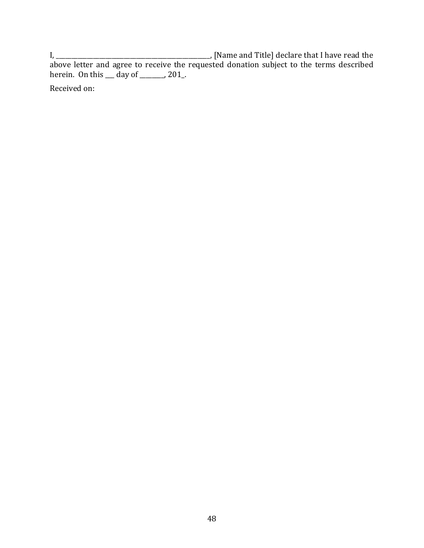I, \_\_\_\_\_\_\_\_\_\_\_\_\_\_\_\_\_\_\_\_\_\_\_\_\_\_\_\_\_\_\_\_\_\_\_\_\_\_\_\_\_\_\_\_\_\_\_\_\_\_, [Name and Title] declare that I have read the above letter and agree to receive the requested donation subject to the terms described herein. On this \_\_\_ day of \_\_\_\_\_\_, 201\_.

Received on: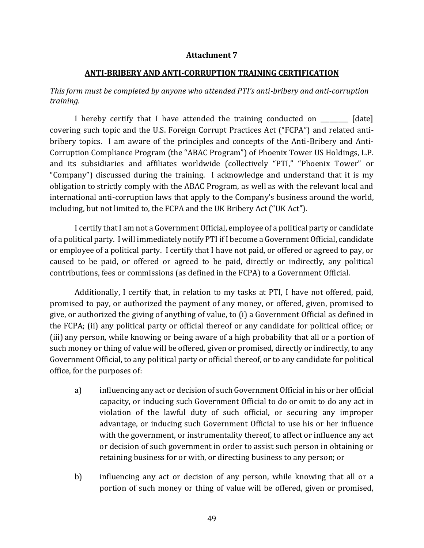#### **Attachment 7**

#### **ANTI-BRIBERY AND ANTI-CORRUPTION TRAINING CERTIFICATION**

#### *This form must be completed by anyone who attended PTI's anti-bribery and anti-corruption training.*

I hereby certify that I have attended the training conducted on \_\_\_\_\_\_\_\_\_ [date] covering such topic and the U.S. Foreign Corrupt Practices Act ("FCPA") and related antibribery topics. I am aware of the principles and concepts of the Anti-Bribery and Anti-Corruption Compliance Program (the "ABAC Program") of Phoenix Tower US Holdings, L.P. and its subsidiaries and affiliates worldwide (collectively "PTI," "Phoenix Tower" or "Company") discussed during the training. I acknowledge and understand that it is my obligation to strictly comply with the ABAC Program, as well as with the relevant local and international anti-corruption laws that apply to the Company's business around the world, including, but not limited to, the FCPA and the UK Bribery Act ("UK Act").

I certify that I am not a Government Official, employee of a political party or candidate of a political party. I will immediately notify PTI if I become a Government Official, candidate or employee of a political party. I certify that I have not paid, or offered or agreed to pay, or caused to be paid, or offered or agreed to be paid, directly or indirectly, any political contributions, fees or commissions (as defined in the FCPA) to a Government Official.

Additionally, I certify that, in relation to my tasks at PTI, I have not offered, paid, promised to pay, or authorized the payment of any money, or offered, given, promised to give, or authorized the giving of anything of value, to (i) a Government Official as defined in the FCPA; (ii) any political party or official thereof or any candidate for political office; or (iii) any person, while knowing or being aware of a high probability that all or a portion of such money or thing of value will be offered, given or promised, directly or indirectly, to any Government Official, to any political party or official thereof, or to any candidate for political office, for the purposes of:

- a) influencing any act or decision of such Government Official in his or her official capacity, or inducing such Government Official to do or omit to do any act in violation of the lawful duty of such official, or securing any improper advantage, or inducing such Government Official to use his or her influence with the government, or instrumentality thereof, to affect or influence any act or decision of such government in order to assist such person in obtaining or retaining business for or with, or directing business to any person; or
- b) influencing any act or decision of any person, while knowing that all or a portion of such money or thing of value will be offered, given or promised,